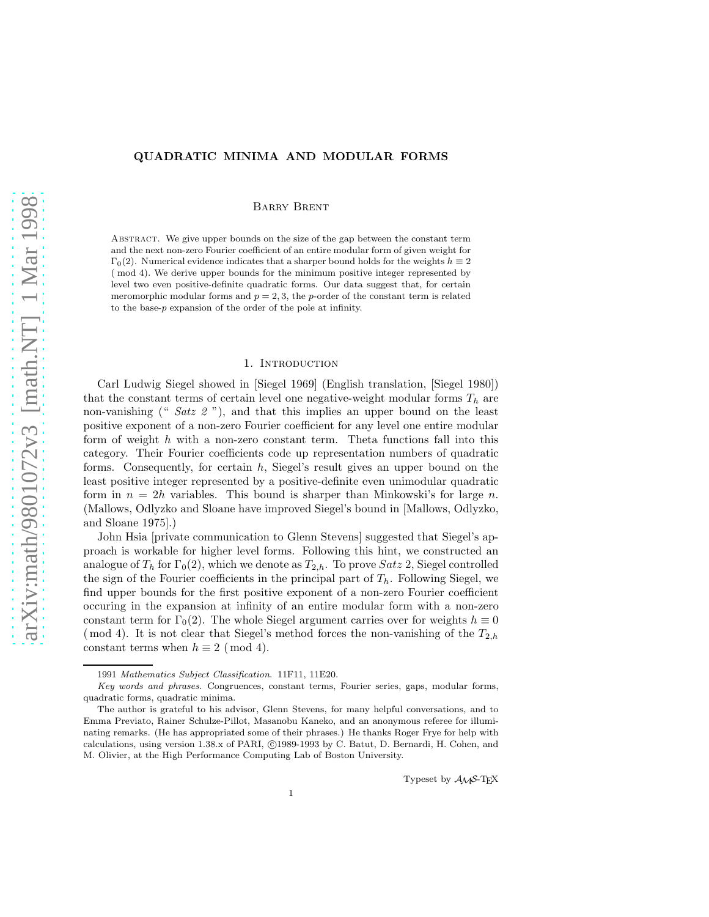# QUADRATIC MINIMA AND MODULAR FORMS

Barry Brent

Abstract. We give upper bounds on the size of the gap between the constant term and the next non-zero Fourier coefficient of an entire modular form of given weight for  $\Gamma_0(2)$ . Numerical evidence indicates that a sharper bound holds for the weights  $h \equiv 2$ ( mod 4). We derive upper bounds for the minimum positive integer represented by level two even positive-definite quadratic forms. Our data suggest that, for certain meromorphic modular forms and  $p = 2, 3$ , the p-order of the constant term is related to the base-p expansion of the order of the pole at infinity.

# 1. INTRODUCTION

Carl Ludwig Siegel showed in [Siegel 1969] (English translation, [Siegel 1980]) that the constant terms of certain level one negative-weight modular forms  $T_h$  are non-vanishing (" *Satz 2*"), and that this implies an upper bound on the least positive exponent of a non-zero Fourier coefficient for any level one entire modular form of weight  $h$  with a non-zero constant term. Theta functions fall into this category. Their Fourier coefficients code up representation numbers of quadratic forms. Consequently, for certain h, Siegel's result gives an upper bound on the least positive integer represented by a positive-definite even unimodular quadratic form in  $n = 2h$  variables. This bound is sharper than Minkowski's for large n. (Mallows, Odlyzko and Sloane have improved Siegel's bound in [Mallows, Odlyzko, and Sloane 1975].)

John Hsia [private communication to Glenn Stevens] suggested that Siegel's approach is workable for higher level forms. Following this hint, we constructed an analogue of  $T_h$  for  $\Gamma_0(2)$ , which we denote as  $T_{2,h}$ . To prove  $Satz$  2, Siegel controlled the sign of the Fourier coefficients in the principal part of  $T_h$ . Following Siegel, we find upper bounds for the first positive exponent of a non-zero Fourier coefficient occuring in the expansion at infinity of an entire modular form with a non-zero constant term for  $\Gamma_0(2)$ . The whole Siegel argument carries over for weights  $h \equiv 0$ (mod 4). It is not clear that Siegel's method forces the non-vanishing of the  $T_{2,h}$ constant terms when  $h \equiv 2 \pmod{4}$ .

Typeset by AMS-TEX

<sup>1991</sup> Mathematics Subject Classification. 11F11, 11E20.

Key words and phrases. Congruences, constant terms, Fourier series, gaps, modular forms, quadratic forms, quadratic minima.

The author is grateful to his advisor, Glenn Stevens, for many helpful conversations, and to Emma Previato, Rainer Schulze-Pillot, Masanobu Kaneko, and an anonymous referee for illuminating remarks. (He has appropriated some of their phrases.) He thanks Roger Frye for help with calculations, using version 1.38.x of PARI, ©1989-1993 by C. Batut, D. Bernardi, H. Cohen, and M. Olivier, at the High Performance Computing Lab of Boston University.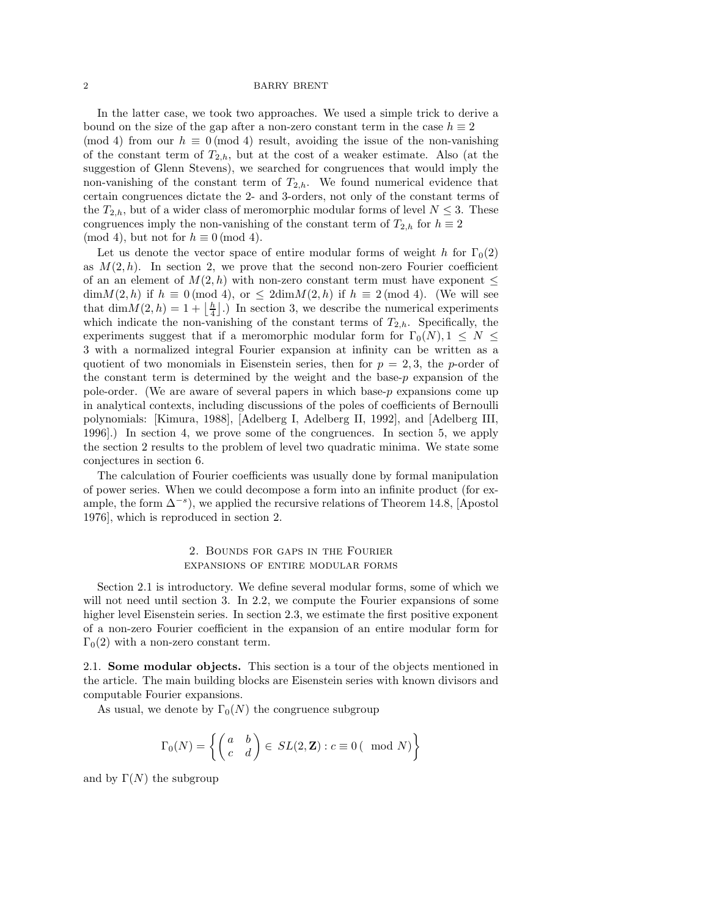In the latter case, we took two approaches. We used a simple trick to derive a bound on the size of the gap after a non-zero constant term in the case  $h \equiv 2$ (mod 4) from our  $h \equiv 0 \pmod{4}$  result, avoiding the issue of the non-vanishing of the constant term of  $T_{2,h}$ , but at the cost of a weaker estimate. Also (at the suggestion of Glenn Stevens), we searched for congruences that would imply the non-vanishing of the constant term of  $T_{2,h}$ . We found numerical evidence that certain congruences dictate the 2- and 3-orders, not only of the constant terms of the  $T_{2,h}$ , but of a wider class of meromorphic modular forms of level  $N \leq 3$ . These congruences imply the non-vanishing of the constant term of  $T_{2,h}$  for  $h \equiv 2$ (mod 4), but not for  $h \equiv 0 \pmod{4}$ .

Let us denote the vector space of entire modular forms of weight h for  $\Gamma_0(2)$ as  $M(2, h)$ . In section 2, we prove that the second non-zero Fourier coefficient of an an element of  $M(2, h)$  with non-zero constant term must have exponent  $\leq$  $\dim M(2, h)$  if  $h \equiv 0 \pmod{4}$ , or  $\leq 2 \dim M(2, h)$  if  $h \equiv 2 \pmod{4}$ . (We will see that  $\dim M(2, h) = 1 + \lfloor \frac{h}{4} \rfloor$ .) In section 3, we describe the numerical experiments which indicate the non-vanishing of the constant terms of  $T_{2,h}$ . Specifically, the experiments suggest that if a meromorphic modular form for  $\Gamma_0(N)$ ,  $1 \leq N \leq$ 3 with a normalized integral Fourier expansion at infinity can be written as a quotient of two monomials in Eisenstein series, then for  $p = 2, 3$ , the p-order of the constant term is determined by the weight and the base- $p$  expansion of the pole-order. (We are aware of several papers in which base-p expansions come up in analytical contexts, including discussions of the poles of coefficients of Bernoulli polynomials: [Kimura, 1988], [Adelberg I, Adelberg II, 1992], and [Adelberg III, 1996].) In section 4, we prove some of the congruences. In section 5, we apply the section 2 results to the problem of level two quadratic minima. We state some conjectures in section 6.

The calculation of Fourier coefficients was usually done by formal manipulation of power series. When we could decompose a form into an infinite product (for example, the form  $\Delta^{-s}$ ), we applied the recursive relations of Theorem 14.8, [Apostol 1976], which is reproduced in section 2.

## 2. Bounds for gaps in the Fourier expansions of entire modular forms

Section 2.1 is introductory. We define several modular forms, some of which we will not need until section 3. In 2.2, we compute the Fourier expansions of some higher level Eisenstein series. In section 2.3, we estimate the first positive exponent of a non-zero Fourier coefficient in the expansion of an entire modular form for  $\Gamma_0(2)$  with a non-zero constant term.

2.1. Some modular objects. This section is a tour of the objects mentioned in the article. The main building blocks are Eisenstein series with known divisors and computable Fourier expansions.

As usual, we denote by  $\Gamma_0(N)$  the congruence subgroup

$$
\Gamma_0(N) = \left\{ \begin{pmatrix} a & b \\ c & d \end{pmatrix} \in SL(2, \mathbf{Z}) : c \equiv 0 \, (\mod N) \right\}
$$

and by  $\Gamma(N)$  the subgroup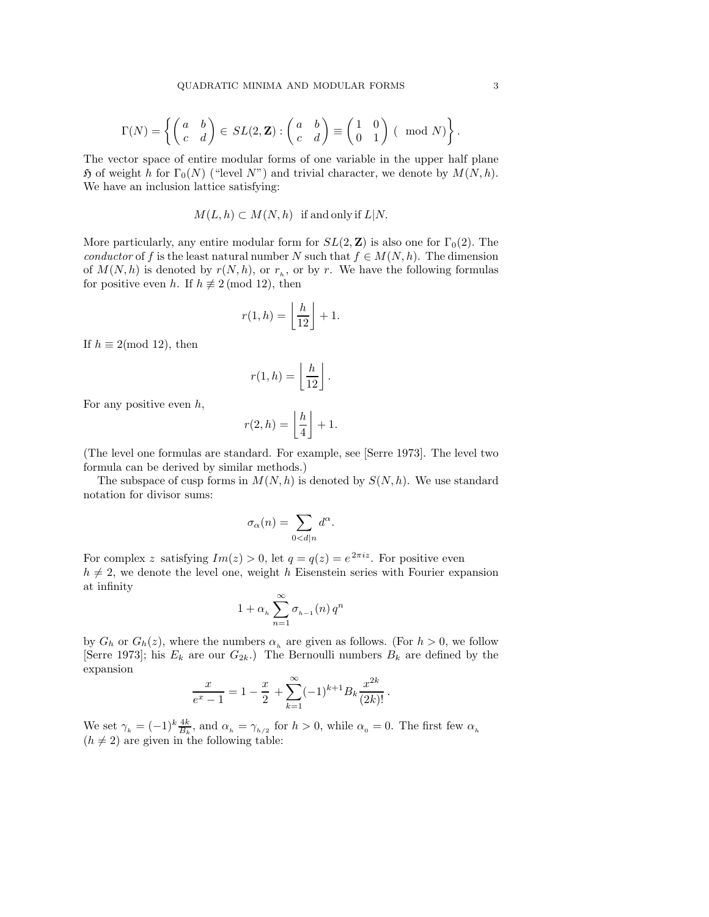$$
\Gamma(N)=\left\{\begin{pmatrix} a&b \\ c&d \end{pmatrix} \in SL(2,{\bf Z}):\begin{pmatrix} a&b \\ c&d \end{pmatrix}\equiv \begin{pmatrix} 1&0 \\ 0&1 \end{pmatrix} \left(\!\!\begin{array}{c} \mod N \end{array}\!\!\right)\right\}.
$$

The vector space of entire modular forms of one variable in the upper half plane  $\mathfrak H$  of weight h for  $\Gamma_0(N)$  ("level N") and trivial character, we denote by  $M(N, h)$ . We have an inclusion lattice satisfying:

$$
M(L, h) \subset M(N, h)
$$
 if and only if  $L|N$ .

More particularly, any entire modular form for  $SL(2, \mathbb{Z})$  is also one for  $\Gamma_0(2)$ . The *conductor* of f is the least natural number N such that  $f \in M(N, h)$ . The dimension of  $M(N, h)$  is denoted by  $r(N, h)$ , or  $r<sub>h</sub>$ , or by r. We have the following formulas for positive even h. If  $h \not\equiv 2 \pmod{12}$ , then

$$
r(1,h) = \left\lfloor \frac{h}{12} \right\rfloor + 1.
$$

If  $h \equiv 2 \pmod{12}$ , then

$$
r(1,h) = \left\lfloor \frac{h}{12} \right\rfloor.
$$

For any positive even  $h$ ,

$$
r(2,h) = \left\lfloor \frac{h}{4} \right\rfloor + 1.
$$

(The level one formulas are standard. For example, see [Serre 1973]. The level two formula can be derived by similar methods.)

The subspace of cusp forms in  $M(N, h)$  is denoted by  $S(N, h)$ . We use standard notation for divisor sums:

$$
\sigma_{\alpha}(n) = \sum_{0 < d|n} d^{\alpha}.
$$

For complex z satisfying  $Im(z) > 0$ , let  $q = q(z) = e^{2\pi i z}$ . For positive even  $h \neq 2$ , we denote the level one, weight h Eisenstein series with Fourier expansion at infinity

$$
1+\alpha_h\sum_{n=1}^\infty\sigma_{_{h-1}}(n)\,q^n
$$

by  $G_h$  or  $G_h(z)$ , where the numbers  $\alpha_h$  are given as follows. (For  $h > 0$ , we follow [Serre 1973]; his  $E_k$  are our  $G_{2k}$ .) The Bernoulli numbers  $B_k$  are defined by the expansion

$$
\frac{x}{e^x - 1} = 1 - \frac{x}{2} + \sum_{k=1}^{\infty} (-1)^{k+1} B_k \frac{x^{2k}}{(2k)!}.
$$

We set  $\gamma_k = (-1)^k \frac{4k}{B_k}$ , and  $\alpha_h = \gamma_{h/2}$  for  $h > 0$ , while  $\alpha_0 = 0$ . The first few  $\alpha_h$  $(h \neq 2)$  are given in the following table: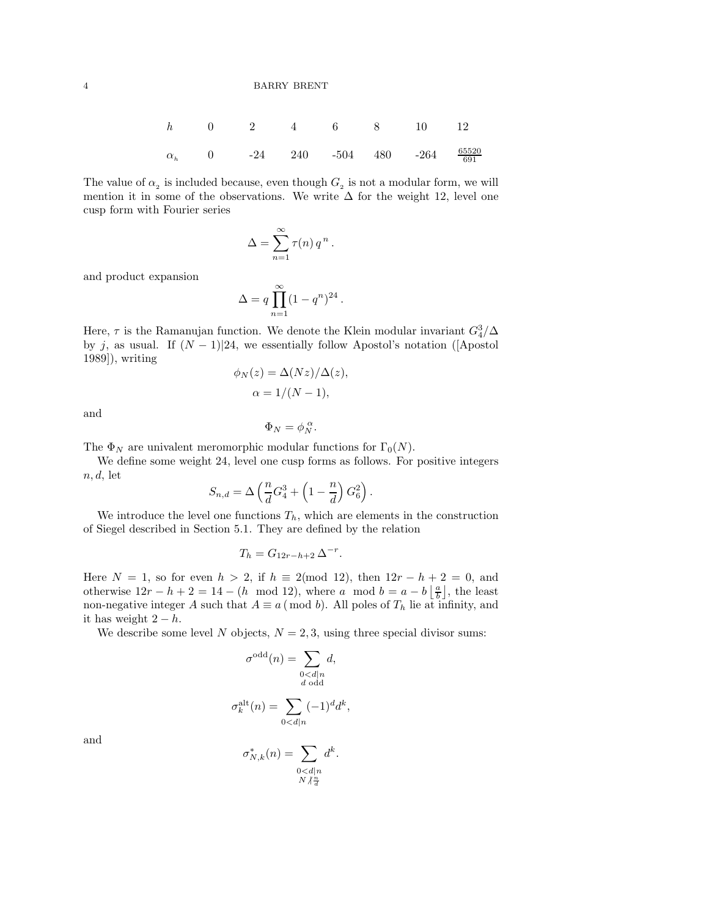| h          | 0 | 2   | 4   | 6    | 8   | 10   | 12                  |
|------------|---|-----|-----|------|-----|------|---------------------|
| $\alpha_h$ | 0 | -24 | 240 | -504 | 480 | -264 | $\frac{65520}{691}$ |

The value of  $\alpha_2$  is included because, even though  $G_2$  is not a modular form, we will mention it in some of the observations. We write  $\Delta$  for the weight 12, level one cusp form with Fourier series

$$
\Delta = \sum_{n=1}^{\infty} \tau(n) q^n.
$$

and product expansion

$$
\Delta = q \prod_{n=1}^{\infty} (1 - q^n)^{24}.
$$

Here,  $\tau$  is the Ramanujan function. We denote the Klein modular invariant  $G_4^3/\Delta$ by j, as usual. If  $(N-1)/24$ , we essentially follow Apostol's notation ([Apostol] 1989]), writing

$$
\phi_N(z) = \Delta(Nz)/\Delta(z),
$$
  

$$
\alpha = 1/(N-1),
$$

and

$$
\Phi_N = \phi_N^{\,\alpha}.
$$

The  $\Phi_N$  are univalent meromorphic modular functions for  $\Gamma_0(N)$ .

We define some weight 24, level one cusp forms as follows. For positive integers  $n, d$ , let

$$
S_{n,d} = \Delta \left(\frac{n}{d}G_4^3 + \left(1 - \frac{n}{d}\right)G_6^2\right).
$$

We introduce the level one functions  $T_h$ , which are elements in the construction of Siegel described in Section 5.1. They are defined by the relation

$$
T_h = G_{12r-h+2} \Delta^{-r}.
$$

Here  $N = 1$ , so for even  $h > 2$ , if  $h \equiv 2 \pmod{12}$ , then  $12r - h + 2 = 0$ , and otherwise  $12r - h + 2 = 14 - (h \mod 12)$ , where a mod  $b = a - b \left\lfloor \frac{a}{b} \right\rfloor$ , the least non-negative integer A such that  $A \equiv a \pmod{b}$ . All poles of  $T_h$  lie at infinity, and it has weight  $2 - h$ .

We describe some level N objects,  $N = 2, 3$ , using three special divisor sums:

$$
\sigma^{\text{odd}}(n) = \sum_{\substack{0 < d|n\\d \text{ odd}}} d,
$$
\n
$$
\sigma_k^{\text{alt}}(n) = \sum_{0 < d|n} (-1)^d d^k,
$$

and

$$
\sigma_{N,k}^*(n) = \sum_{\substack{0 < d|n \\ N \nmid \frac{n}{d}}} d^k.
$$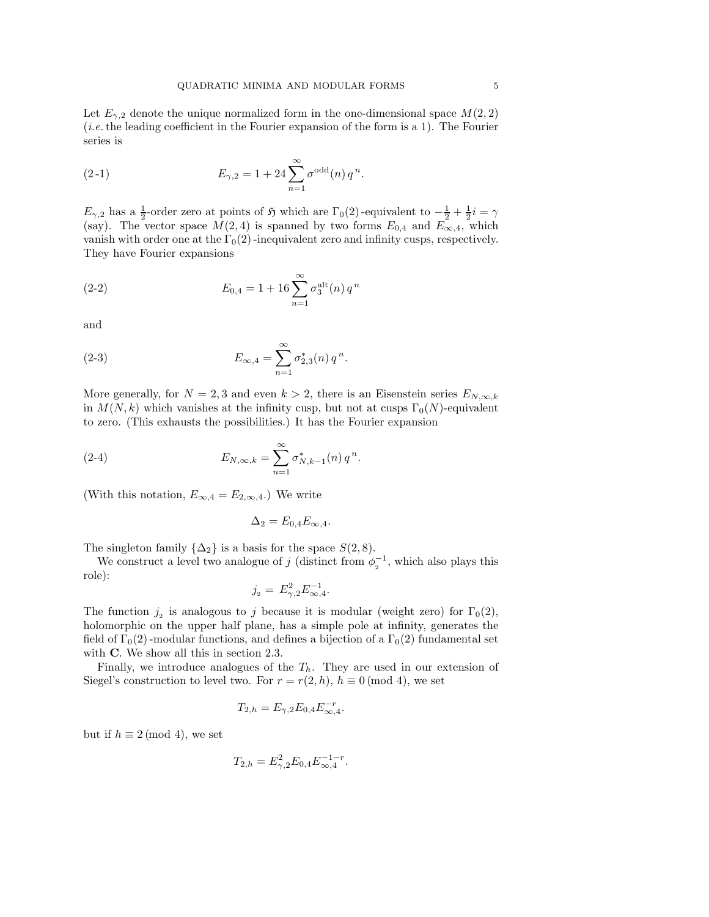Let  $E_{\gamma,2}$  denote the unique normalized form in the one-dimensional space  $M(2,2)$ (*i.e.*the leading coefficient in the Fourier expansion of the form is a 1). The Fourier series is

(2-1) 
$$
E_{\gamma,2} = 1 + 24 \sum_{n=1}^{\infty} \sigma^{\text{odd}}(n) q^n.
$$

 $E_{\gamma,2}$  has a  $\frac{1}{2}$ -order zero at points of  $\mathfrak H$  which are  $\Gamma_0(2)$ -equivalent to  $-\frac{1}{2} + \frac{1}{2}i = \gamma$ (say). The vector space  $M(2, 4)$  is spanned by two forms  $E_{0,4}$  and  $E_{\infty,4}$ , which vanish with order one at the  $\Gamma_0(2)$  -inequivalent zero and infinity cusps, respectively. They have Fourier expansions

(2-2) 
$$
E_{0,4} = 1 + 16 \sum_{n=1}^{\infty} \sigma_3^{\text{alt}}(n) q^n
$$

and

(2-3) 
$$
E_{\infty,4} = \sum_{n=1}^{\infty} \sigma_{2,3}^{*}(n) q^{n}.
$$

More generally, for  $N = 2, 3$  and even  $k > 2$ , there is an Eisenstein series  $E_{N,\infty,k}$ in  $M(N, k)$  which vanishes at the infinity cusp, but not at cusps  $\Gamma_0(N)$ -equivalent to zero. (This exhausts the possibilities.) It has the Fourier expansion

(2-4) 
$$
E_{N,\infty,k} = \sum_{n=1}^{\infty} \sigma_{N,k-1}^{*}(n) q^{n}.
$$

(With this notation,  $E_{\infty,4} = E_{2,\infty,4}$ .) We write

$$
\Delta_2 = E_{0,4} E_{\infty,4}.
$$

The singleton family  $\{\Delta_2\}$  is a basis for the space  $S(2,8)$ .

We construct a level two analogue of j (distinct from  $\phi_2^{-1}$ , which also plays this role):

$$
j_2 = E_{\gamma,2}^2 E_{\infty,4}^{-1}.
$$

The function  $j_2$  is analogous to j because it is modular (weight zero) for  $\Gamma_0(2)$ , holomorphic on the upper half plane, has a simple pole at infinity, generates the field of  $\Gamma_0(2)$ -modular functions, and defines a bijection of a  $\Gamma_0(2)$  fundamental set with **C**. We show all this in section 2.3.

Finally, we introduce analogues of the  $T_h$ . They are used in our extension of Siegel's construction to level two. For  $r = r(2, h)$ ,  $h \equiv 0 \pmod{4}$ , we set

$$
T_{2,h} = E_{\gamma,2} E_{0,4} E_{\infty,4}^{-r}.
$$

but if  $h \equiv 2 \pmod{4}$ , we set

$$
T_{2,h} = E_{\gamma,2}^2 E_{0,4} E_{\infty,4}^{-1-r}.
$$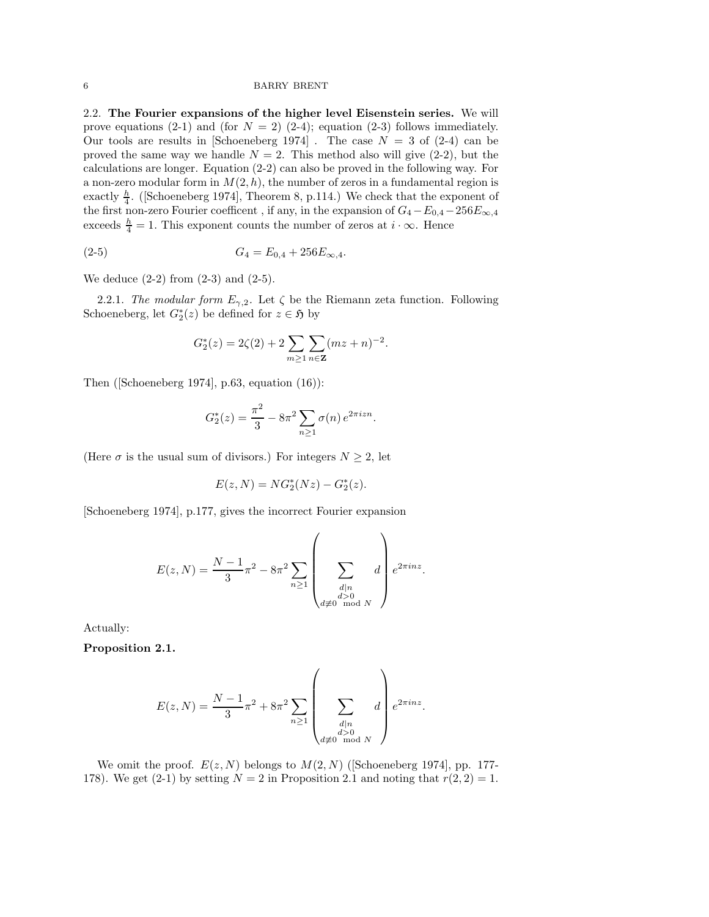2.2. The Fourier expansions of the higher level Eisenstein series. We will prove equations (2-1) and (for  $N = 2$ ) (2-4); equation (2-3) follows immediately. Our tools are results in [Schoeneberg 1974]. The case  $N = 3$  of (2-4) can be proved the same way we handle  $N = 2$ . This method also will give (2-2), but the calculations are longer. Equation (2-2) can also be proved in the following way. For a non-zero modular form in  $M(2, h)$ , the number of zeros in a fundamental region is exactly  $\frac{h}{4}$ . (Schoeneberg 1974], Theorem 8, p.114.) We check that the exponent of the first non-zero Fourier coefficent, if any, in the expansion of  $G_4 - E_{0,4} - 256E_{\infty,4}$ exceeds  $\frac{h}{4} = 1$ . This exponent counts the number of zeros at  $i \cdot \infty$ . Hence

$$
(2-5) \t G_4 = E_{0,4} + 256E_{\infty,4}.
$$

We deduce  $(2-2)$  from  $(2-3)$  and  $(2-5)$ .

2.2.1. *The modular form*  $E_{\gamma,2}$ . Let  $\zeta$  be the Riemann zeta function. Following Schoeneberg, let  $G_2^*(z)$  be defined for  $z \in \mathfrak{H}$  by

$$
G_2^*(z) = 2\zeta(2) + 2\sum_{m\geq 1}\sum_{n\in {\bf Z}}(mz+n)^{-2}.
$$

Then ([Schoeneberg 1974], p.63, equation (16)):

$$
G_2^*(z) = \frac{\pi^2}{3} - 8\pi^2 \sum_{n\geq 1} \sigma(n) e^{2\pi i z n}.
$$

(Here  $\sigma$  is the usual sum of divisors.) For integers  $N \geq 2$ , let

$$
E(z, N) = NG_2^*(Nz) - G_2^*(z).
$$

[Schoeneberg 1974], p.177, gives the incorrect Fourier expansion

$$
E(z, N) = \frac{N - 1}{3} \pi^2 - 8\pi^2 \sum_{n \ge 1} \left( \sum_{\substack{d | n \\ d \neq 0 \mod N}} d \right) e^{2\pi i n z}.
$$

Actually:

Proposition 2.1.

$$
E(z, N) = \frac{N - 1}{3} \pi^2 + 8\pi^2 \sum_{n \ge 1} \left( \sum_{\substack{d | n \\ d \neq 0 \mod N}} d \right) e^{2\pi i n z}.
$$

We omit the proof.  $E(z, N)$  belongs to  $M(2, N)$  ([Schoeneberg 1974], pp. 177-178). We get (2-1) by setting  $N = 2$  in Proposition 2.1 and noting that  $r(2, 2) = 1$ .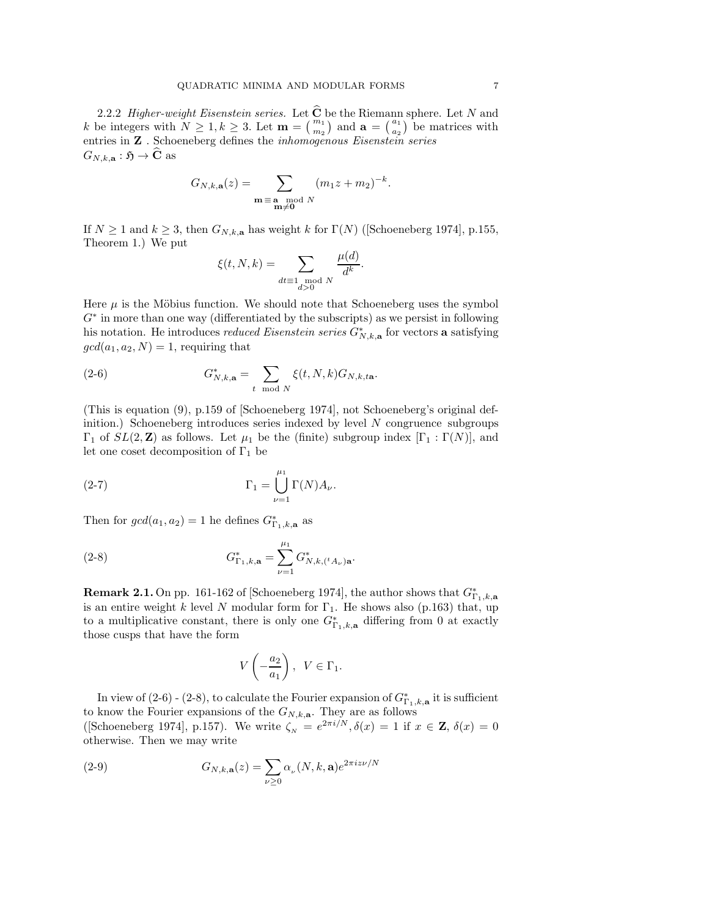2.2.2 *Higher-weight Eisenstein series.* Let  $C$  be the Riemann sphere. Let N and k be integers with  $N \geq 1, k \geq 3$ . Let  $\mathbf{m} = \begin{pmatrix} m_1 \\ m_2 \end{pmatrix}$  and  $\mathbf{a} = \begin{pmatrix} a_1 \\ a_2 \end{pmatrix}$  be matrices with entries in Z . Schoeneberg defines the *inhomogenous Eisenstein series*  $G_{N,k,\mathbf{a}}: \mathfrak{H} \to \widehat{\mathbf{C}}$  as

$$
G_{N,k,\mathbf{a}}(z) = \sum_{\substack{\mathbf{m} \equiv \mathbf{a} \mod N \\ \mathbf{m} \neq \mathbf{0}}} (m_1 z + m_2)^{-k}.
$$

If  $N \ge 1$  and  $k \ge 3$ , then  $G_{N,k,a}$  has weight k for  $\Gamma(N)$  ([Schoeneberg 1974], p.155, Theorem 1.) We put

$$
\xi(t, N, k) = \sum_{dt \equiv 1 \text{ mod } N} \frac{\mu(d)}{d^k}
$$

.

Here  $\mu$  is the Möbius function. We should note that Schoeneberg uses the symbol G<sup>∗</sup> in more than one way (differentiated by the subscripts) as we persist in following his notation. He introduces *reduced Eisenstein series*  $G^*_{N,k,a}$  for vectors **a** satisfying  $gcd(a_1, a_2, N) = 1$ , requiring that

(2-6) 
$$
G_{N,k,\mathbf{a}}^* = \sum_{t \mod N} \xi(t,N,k) G_{N,k,t\mathbf{a}}.
$$

(This is equation (9), p.159 of [Schoeneberg 1974], not Schoeneberg's original definition.) Schoeneberg introduces series indexed by level N congruence subgroups  $\Gamma_1$  of  $SL(2, \mathbb{Z})$  as follows. Let  $\mu_1$  be the (finite) subgroup index  $[\Gamma_1 : \Gamma(N)]$ , and let one coset decomposition of  $\Gamma_1$  be

(2-7) 
$$
\Gamma_1 = \bigcup_{\nu=1}^{\mu_1} \Gamma(N) A_{\nu}.
$$

Then for  $gcd(a_1, a_2) = 1$  he defines  $G_{\Gamma_1, k, \mathbf{a}}^*$  as

(2-8) 
$$
G_{\Gamma_1,k,\mathbf{a}}^* = \sum_{\nu=1}^{\mu_1} G_{N,k,({}^tA_\nu)\mathbf{a}}^*.
$$

**Remark 2.1.** On pp. 161-162 of [Schoeneberg 1974], the author shows that  $G_{\Gamma_1,k,a}^*$ is an entire weight k level N modular form for  $\Gamma_1$ . He shows also (p.163) that, up to a multiplicative constant, there is only one  $G_{\Gamma_1,k,\mathbf{a}}^*$  differing from 0 at exactly those cusps that have the form

$$
V\left(-\frac{a_2}{a_1}\right), \ \ V \in \Gamma_1.
$$

In view of  $(2-6)$  -  $(2-8)$ , to calculate the Fourier expansion of  $G_{\Gamma_1,k,a}^*$  it is sufficient to know the Fourier expansions of the  $G_{N,k,\mathbf{a}}$ . They are as follows ([Schoeneberg 1974], p.157). We write  $\zeta_N = e^{2\pi i/N}, \delta(x) = 1$  if  $x \in \mathbf{Z}, \delta(x) = 0$ otherwise. Then we may write

(2-9) 
$$
G_{N,k,\mathbf{a}}(z) = \sum_{\nu \geq 0} \alpha_{\nu}(N,k,\mathbf{a}) e^{2\pi i z \nu/N}
$$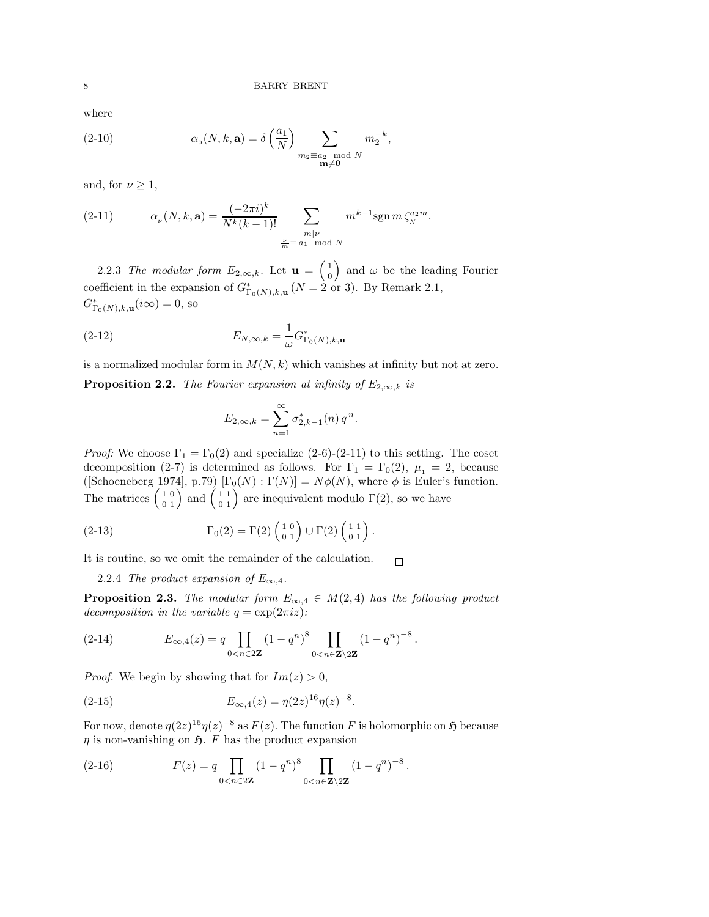where

(2-10) 
$$
\alpha_0(N,k,\mathbf{a}) = \delta\left(\frac{a_1}{N}\right) \sum_{\substack{m_2 \equiv a_2 \mod N \\ \mathbf{m} \neq \mathbf{0}}} m_2^{-k},
$$

and, for  $\nu \geq 1$ ,

(2-11) 
$$
\alpha_{\nu}(N,k,\mathbf{a}) = \frac{(-2\pi i)^k}{N^k(k-1)!} \sum_{\substack{m|\nu\\ \frac{\nu}{m} \equiv a_1 \mod N}} m^{k-1} \operatorname{sgn} m \zeta_N^{a_2 m}.
$$

2.2.3 *The modular form*  $E_{2,\infty,k}$ . Let  $\mathbf{u} = \begin{pmatrix} 1 \\ 0 \end{pmatrix}$ 0 ) and  $\omega$  be the leading Fourier coefficient in the expansion of  $G^*_{\Gamma_0(N),k,\mathbf{u}}$   $(N=2 \text{ or } 3)$ . By Remark 2.1,  $G^*_{\Gamma_0(N),k,\mathbf{u}}(i\infty) = 0$ , so

(2-12) 
$$
E_{N,\infty,k} = \frac{1}{\omega} G^*_{\Gamma_0(N),k,\mathbf{u}}
$$

is a normalized modular form in  $M(N, k)$  which vanishes at infinity but not at zero.

**Proposition 2.2.** *The Fourier expansion at infinity of*  $E_{2,\infty,k}$  *is* 

$$
E_{2,\infty,k} = \sum_{n=1}^{\infty} \sigma_{2,k-1}^{*}(n) q^{n}.
$$

*Proof:* We choose  $\Gamma_1 = \Gamma_0(2)$  and specialize (2-6)-(2-11) to this setting. The coset decomposition (2-7) is determined as follows. For  $\Gamma_1 = \Gamma_0(2)$ ,  $\mu_1 = 2$ , because ([Schoeneberg 1974], p.79)  $[\Gamma_0(N) : \Gamma(N)] = N\phi(N)$ , where  $\phi$  is Euler's function. The matrices  $\begin{pmatrix} 1 & 0 \\ 0 & 1 \end{pmatrix}$  and  $\begin{pmatrix} 1 & 1 \\ 0 & 1 \end{pmatrix}$  are inequivalent modulo  $\Gamma(2)$ , so we have

(2-13) 
$$
\Gamma_0(2) = \Gamma(2) \begin{pmatrix} 1 & 0 \\ 0 & 1 \end{pmatrix} \cup \Gamma(2) \begin{pmatrix} 1 & 1 \\ 0 & 1 \end{pmatrix}.
$$

It is routine, so we omit the remainder of the calculation.  $\Box$ 

2.2.4 *The product expansion of*  $E_{\infty,4}$ .

**Proposition 2.3.** *The modular form*  $E_{\infty,4} \in M(2,4)$  *has the following product decomposition in the variable*  $q = \exp(2\pi i z)$ *:* 

(2-14) 
$$
E_{\infty,4}(z) = q \prod_{0 < n \in 2\mathbf{Z}} (1 - q^n)^8 \prod_{0 < n \in \mathbf{Z} \setminus 2\mathbf{Z}} (1 - q^n)^{-8}.
$$

*Proof.* We begin by showing that for  $Im(z) > 0$ ,

(2-15) 
$$
E_{\infty,4}(z) = \eta(2z)^{16}\eta(z)^{-8}.
$$

For now, denote  $\eta(2z)^{16}\eta(z)^{-8}$  as  $F(z)$ . The function F is holomorphic on  $\mathfrak H$  because  $\eta$  is non-vanishing on  $\mathfrak{H}$ . F has the product expansion

(2-16) 
$$
F(z) = q \prod_{0 < n \in 2\mathbf{Z}} (1 - q^n)^8 \prod_{0 < n \in \mathbf{Z} \setminus 2\mathbf{Z}} (1 - q^n)^{-8}.
$$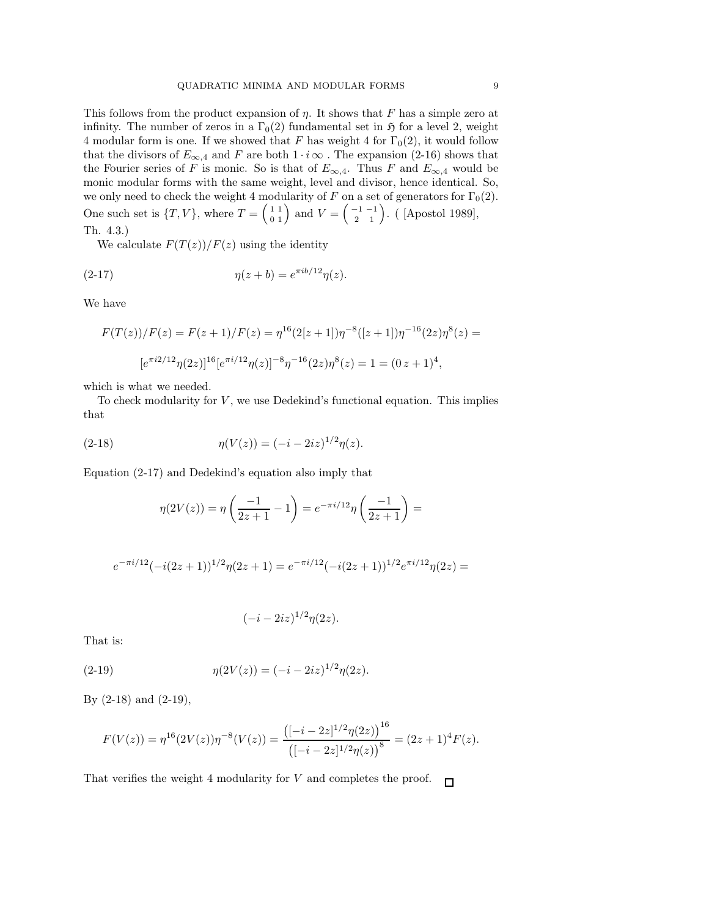This follows from the product expansion of  $\eta$ . It shows that F has a simple zero at infinity. The number of zeros in a  $\Gamma_0(2)$  fundamental set in  $\mathfrak H$  for a level 2, weight 4 modular form is one. If we showed that F has weight 4 for  $\Gamma_0(2)$ , it would follow that the divisors of  $E_{\infty,4}$  and F are both  $1 \cdot i \infty$ . The expansion (2-16) shows that the Fourier series of F is monic. So is that of  $E_{\infty,4}$ . Thus F and  $E_{\infty,4}$  would be monic modular forms with the same weight, level and divisor, hence identical. So, we only need to check the weight 4 modularity of F on a set of generators for  $\Gamma_0(2)$ . One such set is  $\{T, V\}$ , where  $T = \begin{pmatrix} 1 & 1 \\ 0 & 1 \end{pmatrix}$  and  $V = \begin{pmatrix} -1 & -1 \\ 2 & 1 \end{pmatrix}$ . ([Apostol 1989], Th. 4.3.)

We calculate  $F(T(z))/F(z)$  using the identity

(2-17) 
$$
\eta(z+b) = e^{\pi i b/12} \eta(z).
$$

We have

$$
F(T(z))/F(z) = F(z+1)/F(z) = \eta^{16}(2[z+1])\eta^{-8}([z+1])\eta^{-16}(2z)\eta^{8}(z) =
$$
  

$$
[e^{\pi i2/12}\eta(2z)]^{16}[e^{\pi i/12}\eta(z)]^{-8}\eta^{-16}(2z)\eta^{8}(z) = 1 = (0 z + 1)^4,
$$

which is what we needed.

To check modularity for  $V$ , we use Dedekind's functional equation. This implies that

(2-18) 
$$
\eta(V(z)) = (-i - 2iz)^{1/2}\eta(z).
$$

Equation (2-17) and Dedekind's equation also imply that

$$
\eta(2V(z)) = \eta\left(\frac{-1}{2z+1} - 1\right) = e^{-\pi i/12}\eta\left(\frac{-1}{2z+1}\right) =
$$

$$
e^{-\pi i/12}(-i(2z+1))^{1/2}\eta(2z+1) = e^{-\pi i/12}(-i(2z+1))^{1/2}e^{\pi i/12}\eta(2z) =
$$

$$
(-i - 2iz)^{1/2}\eta(2z).
$$

That is:

(2-19) 
$$
\eta(2V(z)) = (-i - 2iz)^{1/2}\eta(2z).
$$

By (2-18) and (2-19),

$$
F(V(z)) = \eta^{16}(2V(z))\eta^{-8}(V(z)) = \frac{\left([-i-2z]^{1/2}\eta(2z)\right)^{16}}{\left([-i-2z]^{1/2}\eta(z)\right)^8} = (2z+1)^4F(z).
$$

That verifies the weight 4 modularity for V and completes the proof.  $\Box$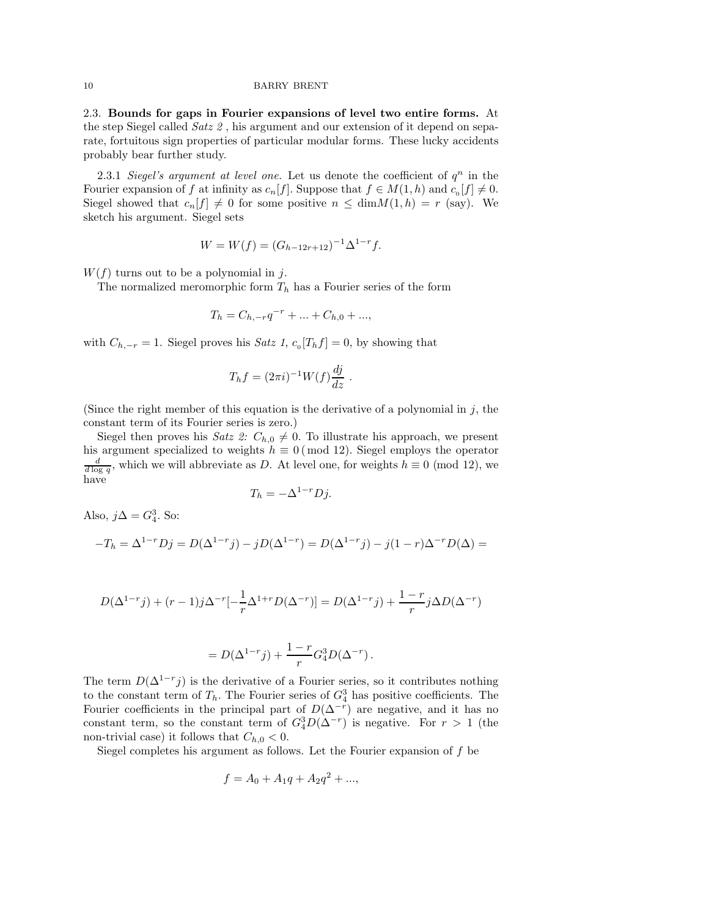2.3. Bounds for gaps in Fourier expansions of level two entire forms. At the step Siegel called *Satz 2* , his argument and our extension of it depend on separate, fortuitous sign properties of particular modular forms. These lucky accidents probably bear further study.

2.3.1 *Siegel's argument at level one.* Let us denote the coefficient of  $q^n$  in the Fourier expansion of f at infinity as  $c_n[f]$ . Suppose that  $f \in M(1,h)$  and  $c_0[f] \neq 0$ . Siegel showed that  $c_n[f] \neq 0$  for some positive  $n \leq \dim M(1, h) = r$  (say). We sketch his argument. Siegel sets

$$
W = W(f) = (G_{h-12r+12})^{-1} \Delta^{1-r} f.
$$

 $W(f)$  turns out to be a polynomial in j.

The normalized meromorphic form  $T_h$  has a Fourier series of the form

$$
T_h = C_{h,-r}q^{-r} + \dots + C_{h,0} + \dots,
$$

with  $C_{h,-r} = 1$ . Siegel proves his *Satz 1*,  $c_0[T_h f] = 0$ , by showing that

$$
T_h f = (2\pi i)^{-1} W(f) \frac{dj}{dz} .
$$

(Since the right member of this equation is the derivative of a polynomial in  $j$ , the constant term of its Fourier series is zero.)

Siegel then proves his *Satz 2:*  $C_{h,0} \neq 0$ . To illustrate his approach, we present his argument specialized to weights  $h \equiv 0 \pmod{12}$ . Siegel employs the operator  $\frac{d}{d \log q}$ , which we will abbreviate as D. At level one, for weights  $h \equiv 0 \pmod{12}$ , we have

$$
T_h = -\Delta^{1-r} Dj.
$$

Also,  $j\Delta = G_4^3$ . So:

$$
-T_h = \Delta^{1-r} Dj = D(\Delta^{1-r} j) - jD(\Delta^{1-r}) = D(\Delta^{1-r} j) - j(1-r)\Delta^{-r} D(\Delta) =
$$

$$
D(\Delta^{1-r}j) + (r-1)j\Delta^{-r}[-\frac{1}{r}\Delta^{1+r}D(\Delta^{-r})] = D(\Delta^{1-r}j) + \frac{1-r}{r}j\Delta D(\Delta^{-r})
$$

$$
= D(\Delta^{1-r} j) + \frac{1-r}{r} G_4^3 D(\Delta^{-r}).
$$

The term  $D(\Delta^{1-r} j)$  is the derivative of a Fourier series, so it contributes nothing to the constant term of  $T_h$ . The Fourier series of  $G_4^3$  has positive coefficients. The Fourier coefficients in the principal part of  $D(\Delta^{-r})$  are negative, and it has no constant term, so the constant term of  $G_4^3D(\Delta^{-r})$  is negative. For  $r > 1$  (the non-trivial case) it follows that  $C_{h,0} < 0$ .

Siegel completes his argument as follows. Let the Fourier expansion of  $f$  be

$$
f = A_0 + A_1q + A_2q^2 + \dots,
$$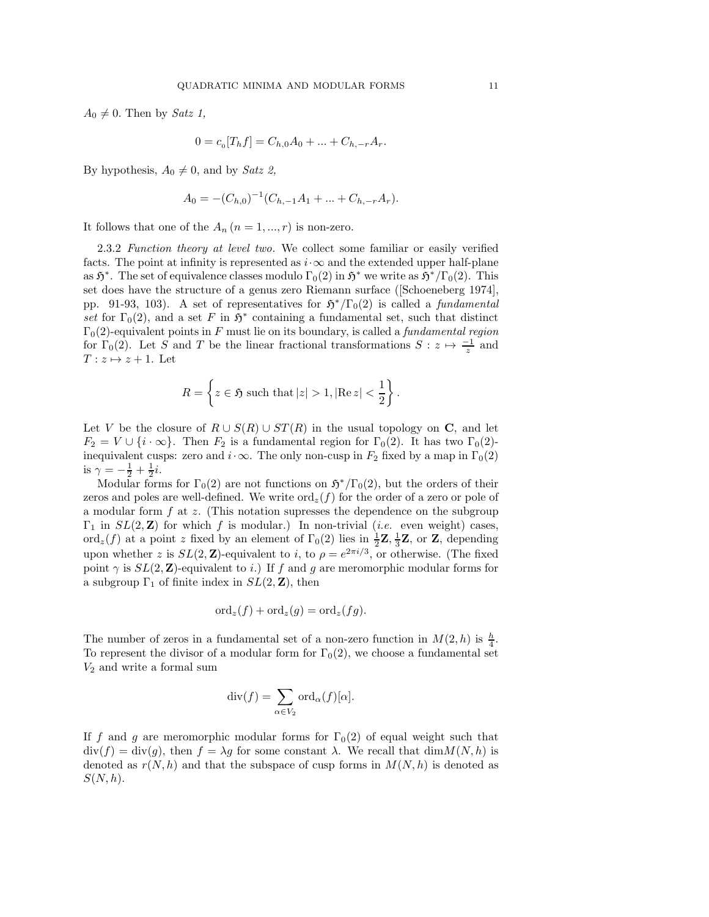$$
0 = c_0[T_h f] = C_{h,0}A_0 + \dots + C_{h,-r}A_r.
$$

By hypothesis,  $A_0 \neq 0$ , and by *Satz 2*,

$$
A_0 = -(C_{h,0})^{-1}(C_{h,-1}A_1 + \dots + C_{h,-r}A_r).
$$

It follows that one of the  $A_n$   $(n = 1, ..., r)$  is non-zero.

2.3.2 *Function theory at level two.* We collect some familiar or easily verified facts. The point at infinity is represented as  $i \cdot \infty$  and the extended upper half-plane as  $\mathfrak{H}^*$ . The set of equivalence classes modulo  $\Gamma_0(2)$  in  $\mathfrak{H}^*$  we write as  $\mathfrak{H}^*/\Gamma_0(2)$ . This set does have the structure of a genus zero Riemann surface ([Schoeneberg 1974], pp. 91-93, 103). A set of representatives for  $\mathfrak{H}^*/\Gamma_0(2)$  is called a *fundamental* set for  $\Gamma_0(2)$ , and a set F in  $\mathfrak{H}^*$  containing a fundamental set, such that distinct  $\Gamma_0(2)$ -equivalent points in F must lie on its boundary, is called a *fundamental region* for  $\Gamma_0(2)$ . Let S and T be the linear fractional transformations  $S: z \mapsto \frac{-1}{z}$  and  $T: z \mapsto z + 1$ . Let

$$
R = \left\{ z \in \mathfrak{H} \text{ such that } |z| > 1, |\text{Re } z| < \frac{1}{2} \right\}.
$$

Let V be the closure of  $R \cup S(R) \cup ST(R)$  in the usual topology on C, and let  $F_2 = V \cup \{i \cdot \infty\}$ . Then  $F_2$  is a fundamental region for  $\Gamma_0(2)$ . It has two  $\Gamma_0(2)$ inequivalent cusps: zero and  $i \cdot \infty$ . The only non-cusp in  $F_2$  fixed by a map in  $\Gamma_0(2)$ is  $\gamma = -\frac{1}{2} + \frac{1}{2}i$ .

Modular forms for  $\Gamma_0(2)$  are not functions on  $\mathfrak{H}^*/\Gamma_0(2)$ , but the orders of their zeros and poles are well-defined. We write  $\text{ord}_{z}(f)$  for the order of a zero or pole of a modular form  $f$  at z. (This notation supresses the dependence on the subgroup  $\Gamma_1$  in  $SL(2, \mathbb{Z})$  for which f is modular.) In non-trivial (*i.e.* even weight) cases, ord<sub>z</sub>(f) at a point z fixed by an element of  $\Gamma_0(2)$  lies in  $\frac{1}{2}\mathbf{Z}, \frac{1}{3}\mathbf{Z}$ , or  $\mathbf{Z}$ , depending upon whether z is  $SL(2, \mathbb{Z})$ -equivalent to i, to  $\rho = e^{2\pi i/3}$ , or otherwise. (The fixed point  $\gamma$  is  $SL(2, \mathbb{Z})$ -equivalent to i.) If f and g are meromorphic modular forms for a subgroup  $\Gamma_1$  of finite index in  $SL(2, \mathbb{Z})$ , then

$$
\mathrm{ord}_z(f) + \mathrm{ord}_z(g) = \mathrm{ord}_z(fg).
$$

The number of zeros in a fundamental set of a non-zero function in  $M(2,h)$  is  $\frac{h}{4}$ . To represent the divisor of a modular form for  $\Gamma_0(2)$ , we choose a fundamental set  $V_2$  and write a formal sum

$$
\operatorname{div}(f) = \sum_{\alpha \in V_2} \operatorname{ord}_{\alpha}(f)[\alpha].
$$

If f and g are meromorphic modular forms for  $\Gamma_0(2)$  of equal weight such that  $div(f) = div(g)$ , then  $f = \lambda g$  for some constant  $\lambda$ . We recall that  $dim M(N, h)$  is denoted as  $r(N, h)$  and that the subspace of cusp forms in  $M(N, h)$  is denoted as  $S(N, h)$ .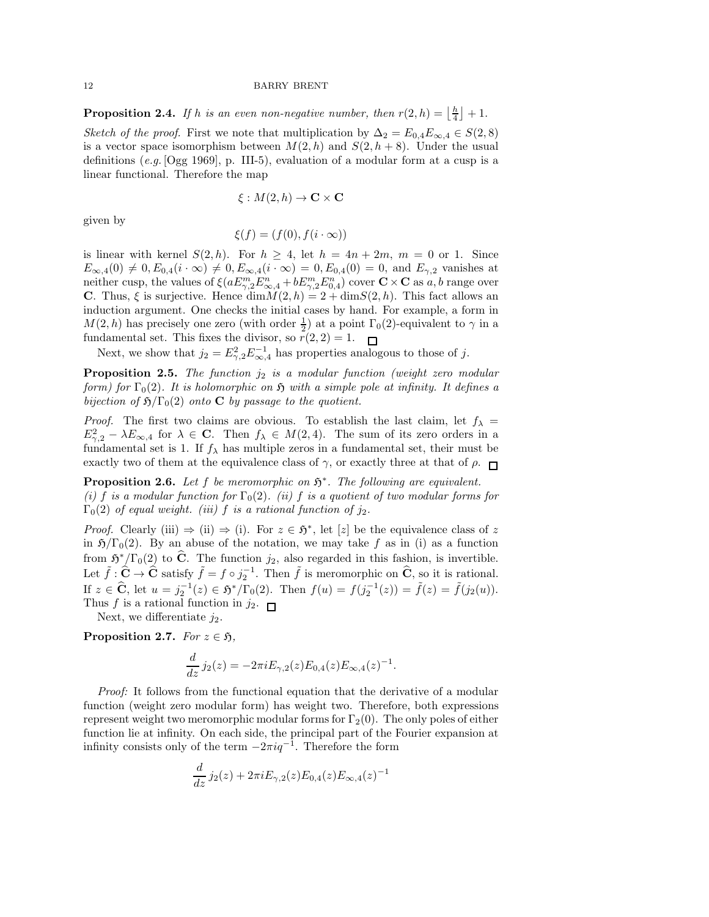**Proposition 2.4.** If h is an even non-negative number, then  $r(2,h) = \lfloor \frac{h}{4} \rfloor + 1$ .

*Sketch of the proof.* First we note that multiplication by  $\Delta_2 = E_{0,4}E_{\infty,4} \in S(2,8)$ is a vector space isomorphism between  $M(2,h)$  and  $S(2,h+8)$ . Under the usual definitions (*e.g.* [Ogg 1969], p. III-5), evaluation of a modular form at a cusp is a linear functional. Therefore the map

$$
\xi: M(2,h) \to \mathbf{C} \times \mathbf{C}
$$

given by

$$
\xi(f) = (f(0), f(i \cdot \infty))
$$

is linear with kernel  $S(2, h)$ . For  $h \geq 4$ , let  $h = 4n + 2m$ ,  $m = 0$  or 1. Since  $E_{\infty,4}(0) \neq 0, E_{0,4}(i \cdot \infty) \neq 0, E_{\infty,4}(i \cdot \infty) = 0, E_{0,4}(0) = 0$ , and  $E_{\gamma,2}$  vanishes at neither cusp, the values of  $\xi(aE^m_{\gamma,2}E^n_{\infty,4} + bE^m_{\gamma,2}E^n_{0,4})$  cover  $\mathbf{C} \times \mathbf{C}$  as  $a, b$  range over C. Thus,  $\xi$  is surjective. Hence  $\dim M(2, h) = 2 + \dim S(2, h)$ . This fact allows an induction argument. One checks the initial cases by hand. For example, a form in  $M(2,h)$  has precisely one zero (with order  $\frac{1}{2}$ ) at a point  $\Gamma_0(2)$ -equivalent to  $\gamma$  in a fundamental set. This fixes the divisor, so  $r(2, 2) = 1$ .

Next, we show that  $j_2 = E_{\gamma,2}^2 E_{\infty,4}^{-1}$  has properties analogous to those of j.

Proposition 2.5. *The function*  $j_2$  *is a modular function (weight zero modular form)* for  $\Gamma_0(2)$ *. It is holomorphic on*  $\mathfrak{H}$  *with a simple pole at infinity. It defines a bijection of*  $\mathfrak{H}/\Gamma_0(2)$  *onto* **C** *by passage to the quotient.* 

*Proof.* The first two claims are obvious. To establish the last claim, let  $f_{\lambda}$  =  $E_{\gamma,2}^2 - \lambda E_{\infty,4}$  for  $\lambda \in \mathbb{C}$ . Then  $f_{\lambda} \in M(2,4)$ . The sum of its zero orders in a fundamental set is 1. If  $f_{\lambda}$  has multiple zeros in a fundamental set, their must be exactly two of them at the equivalence class of  $\gamma$ , or exactly three at that of  $\rho$ .

**Proposition 2.6.** Let  $f$  be meromorphic on  $\mathfrak{H}^*$ . The following are equivalent. *(i)* f *is a modular function for*  $\Gamma_0(2)$ *. (ii)* f *is a quotient of two modular forms for*  $\Gamma_0(2)$  *of equal weight. (iii)* f *is a rational function of*  $j_2$ *.* 

*Proof.* Clearly (iii)  $\Rightarrow$  (ii)  $\Rightarrow$  (i). For  $z \in \mathfrak{H}^*$ , let [z] be the equivalence class of z in  $\mathfrak{H}/\Gamma_0(2)$ . By an abuse of the notation, we may take f as in (i) as a function from  $\mathfrak{H}^*/\Gamma_0(2)$  to  $\hat{\mathbf{C}}$ . The function  $j_2$ , also regarded in this fashion, is invertible. Let  $\tilde{f} : \hat{C} \to \hat{C}$  satisfy  $\tilde{f} = f \circ j_2^{-1}$ . Then  $\tilde{f}$  is meromorphic on  $\hat{C}$ , so it is rational. If  $z \in \hat{\mathbf{C}}$ , let  $u = j_2^{-1}(z) \in \mathfrak{H}^*/\Gamma_0(2)$ . Then  $f(u) = f(j_2^{-1}(z)) = \tilde{f}(z) = \tilde{f}(j_2(u))$ . Thus f is a rational function in  $j_2$ .

Next, we differentiate  $j_2$ .

Proposition 2.7. *For*  $z \in \mathfrak{H}$ ,

$$
\frac{d}{dz} j_2(z) = -2\pi i E_{\gamma,2}(z) E_{0,4}(z) E_{\infty,4}(z)^{-1}.
$$

*Proof:* It follows from the functional equation that the derivative of a modular function (weight zero modular form) has weight two. Therefore, both expressions represent weight two meromorphic modular forms for  $\Gamma_2(0)$ . The only poles of either function lie at infinity. On each side, the principal part of the Fourier expansion at infinity consists only of the term  $-2\pi i q^{-1}$ . Therefore the form

$$
\frac{d}{dz} j_2(z) + 2\pi i E_{\gamma,2}(z) E_{0,4}(z) E_{\infty,4}(z)^{-1}
$$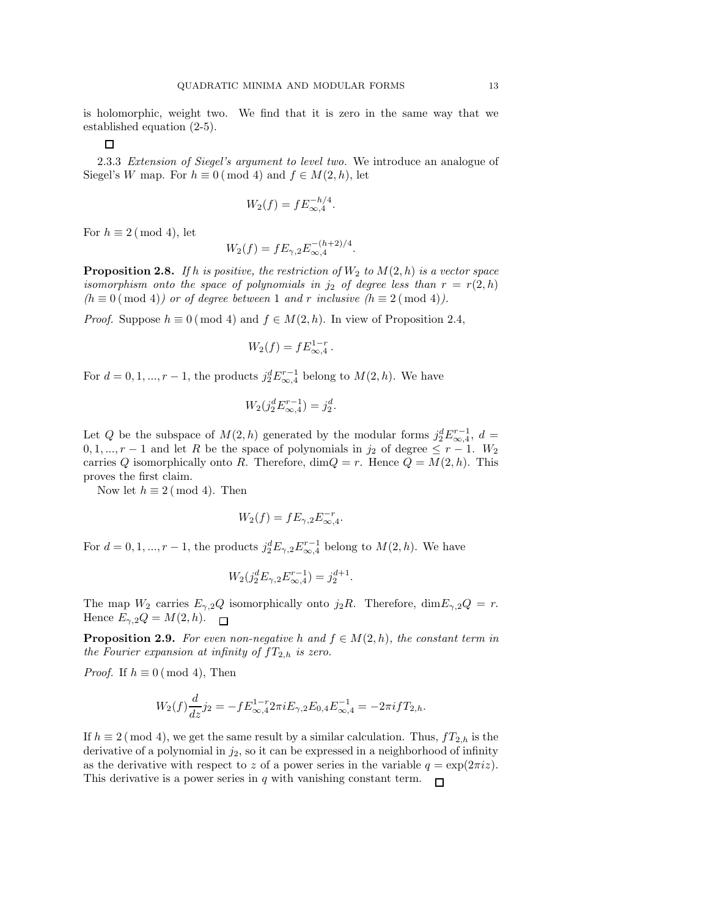is holomorphic, weight two. We find that it is zero in the same way that we established equation (2-5).

 $\Box$ 

2.3.3 *Extension of Siegel's argument to level two.* We introduce an analogue of Siegel's W map. For  $h \equiv 0 \pmod{4}$  and  $f \in M(2, h)$ , let

$$
W_2(f) = f E_{\infty,4}^{-h/4}.
$$

For  $h \equiv 2 \pmod{4}$ , let

$$
W_2(f) = f E_{\gamma,2} E_{\infty,4}^{-(h+2)/4}.
$$

**Proposition 2.8.** If h is positive, the restriction of  $W_2$  to  $M(2,h)$  is a vector space *isomorphism onto the space of polynomials in*  $j_2$  *of degree less than*  $r = r(2, h)$  $(h \equiv 0 \pmod{4}$  *or of degree between* 1 *and r inclusive*  $(h \equiv 2 \pmod{4}$ .

*Proof.* Suppose  $h \equiv 0 \pmod{4}$  and  $f \in M(2, h)$ . In view of Proposition 2.4,

$$
W_2(f) = f E_{\infty,4}^{1-r}.
$$

For  $d = 0, 1, ..., r - 1$ , the products  $j_2^d E_{\infty, 4}^{r-1}$  belong to  $M(2, h)$ . We have

$$
W_2(j_2^d E_{\infty,4}^{r-1}) = j_2^d.
$$

Let Q be the subspace of  $M(2,h)$  generated by the modular forms  $j_2^d E_{\infty,4}^{r-1}$ ,  $d=$ 0, 1, ...,  $r-1$  and let R be the space of polynomials in  $j_2$  of degree  $\leq r-1$ .  $W_2$ carries Q isomorphically onto R. Therefore,  $\dim Q = r$ . Hence  $Q = M(2, h)$ . This proves the first claim.

Now let  $h \equiv 2 \pmod{4}$ . Then

$$
W_2(f) = f E_{\gamma,2} E_{\infty,4}^{-r}.
$$

For  $d = 0, 1, ..., r - 1$ , the products  $j_2^d E_{\gamma,2} E_{\infty,4}^{r-1}$  belong to  $M(2,h)$ . We have

$$
W_2(j_2^d E_{\gamma,2} E_{\infty,4}^{r-1}) = j_2^{d+1}.
$$

The map  $W_2$  carries  $E_{\gamma,2}Q$  isomorphically onto  $j_2R$ . Therefore,  $\dim E_{\gamma,2}Q = r$ . Hence  $E_{\gamma,2}Q = M(2,h)$ .

**Proposition 2.9.** *For even non-negative* h and  $f \in M(2, h)$ *, the constant term in the Fourier expansion at infinity of*  $fT_{2,h}$  *is zero.* 

*Proof.* If  $h \equiv 0 \pmod{4}$ , Then

$$
W_2(f)\frac{d}{dz}j_2 = -fE_{\infty,4}^{1-r}2\pi iE_{\gamma,2}E_{0,4}E_{\infty,4}^{-1} = -2\pi ifT_{2,h}.
$$

If  $h \equiv 2 \pmod{4}$ , we get the same result by a similar calculation. Thus,  $fT_{2,h}$  is the derivative of a polynomial in  $j_2$ , so it can be expressed in a neighborhood of infinity as the derivative with respect to z of a power series in the variable  $q = \exp(2\pi i z)$ . This derivative is a power series in q with vanishing constant term.  $\Box$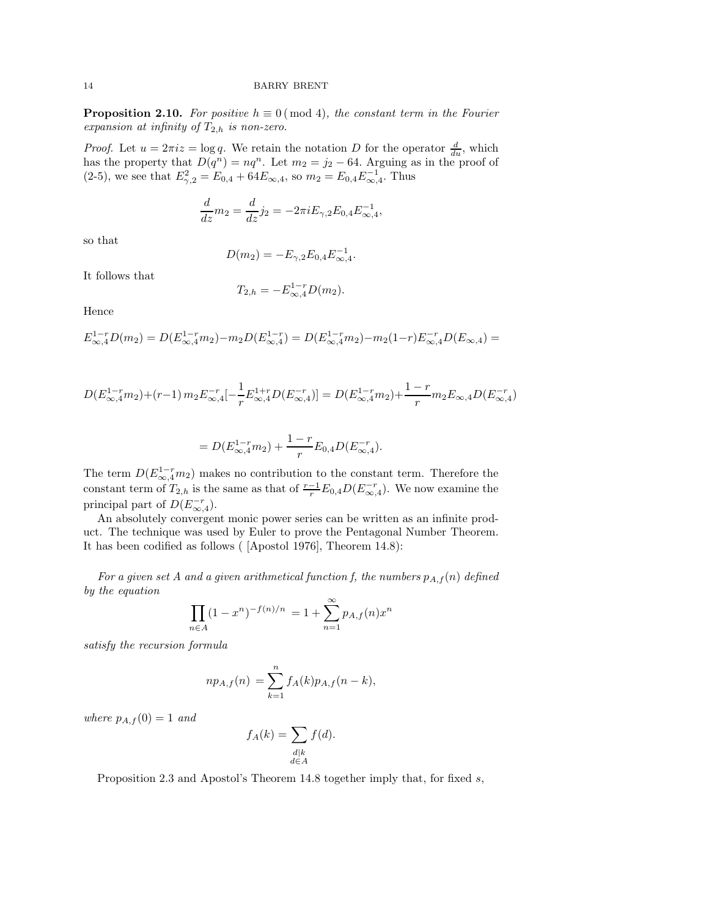**Proposition 2.10.** *For positive*  $h \equiv 0 \pmod{4}$ *, the constant term in the Fourier expansion at infinity of* T<sup>2</sup>,h *is non-zero.*

*Proof.* Let  $u = 2\pi i z = \log q$ . We retain the notation D for the operator  $\frac{d}{du}$ , which has the property that  $D(q^n) = nq^n$ . Let  $m_2 = j_2 - 64$ . Arguing as in the proof of (2-5), we see that  $E_{\gamma,2}^2 = E_{0,4} + 64E_{\infty,4}$ , so  $m_2 = E_{0,4}E_{\infty,4}^{-1}$ . Thus

$$
\frac{d}{dz}m_2 = \frac{d}{dz}j_2 = -2\pi i E_{\gamma,2} E_{0,4} E_{\infty,4}^{-1},
$$

so that

$$
D(m_2) = -E_{\gamma,2}E_{0,4}E_{\infty,4}^{-1}.
$$

It follows that

$$
T_{2,h} = -E_{\infty,4}^{1-r} D(m_2).
$$

Hence

$$
E_{\infty,4}^{1-r}D(m_2) = D(E_{\infty,4}^{1-r}m_2) - m_2D(E_{\infty,4}^{1-r}) = D(E_{\infty,4}^{1-r}m_2) - m_2(1-r)E_{\infty,4}^{-r}D(E_{\infty,4}) =
$$

$$
D(E_{\infty,4}^{1-r}m_2)+(r-1) \, m_2 E_{\infty,4}^{-r}[-\frac{1}{r}E_{\infty,4}^{1+r}D(E_{\infty,4}^{-r})] = D(E_{\infty,4}^{1-r}m_2)+(r-1) \, m_2 E_{\infty,4}D(E_{\infty,4}^{-r})
$$

$$
= D(E_{\infty,4}^{1-r}m_2) + \frac{1-r}{r}E_{0,4}D(E_{\infty,4}^{-r}).
$$

The term  $D(E_{\infty,4}^{1-r}m_2)$  makes no contribution to the constant term. Therefore the constant term of  $T_{2,h}$  is the same as that of  $\frac{r-1}{r}E_{0,4}D(E_{\infty,4}^{-r})$ . We now examine the principal part of  $D(E_{\infty,4}^{-r})$ .

An absolutely convergent monic power series can be written as an infinite product. The technique was used by Euler to prove the Pentagonal Number Theorem. It has been codified as follows ( [Apostol 1976], Theorem 14.8):

For a given set A and a given arithmetical function f, the numbers  $p_{A,f}(n)$  defined *by the equation*

$$
\prod_{n \in A} (1 - x^n)^{-f(n)/n} = 1 + \sum_{n=1}^{\infty} p_{A,f}(n) x^n
$$

*satisfy the recursion formula*

$$
np_{A,f}(n) = \sum_{k=1}^{n} f_A(k)p_{A,f}(n-k),
$$

*where*  $p_{A,f}(0) = 1$  *and* 

$$
f_A(k) = \sum_{\substack{d|k\\d\in A}} f(d).
$$

Proposition 2.3 and Apostol's Theorem 14.8 together imply that, for fixed  $s$ ,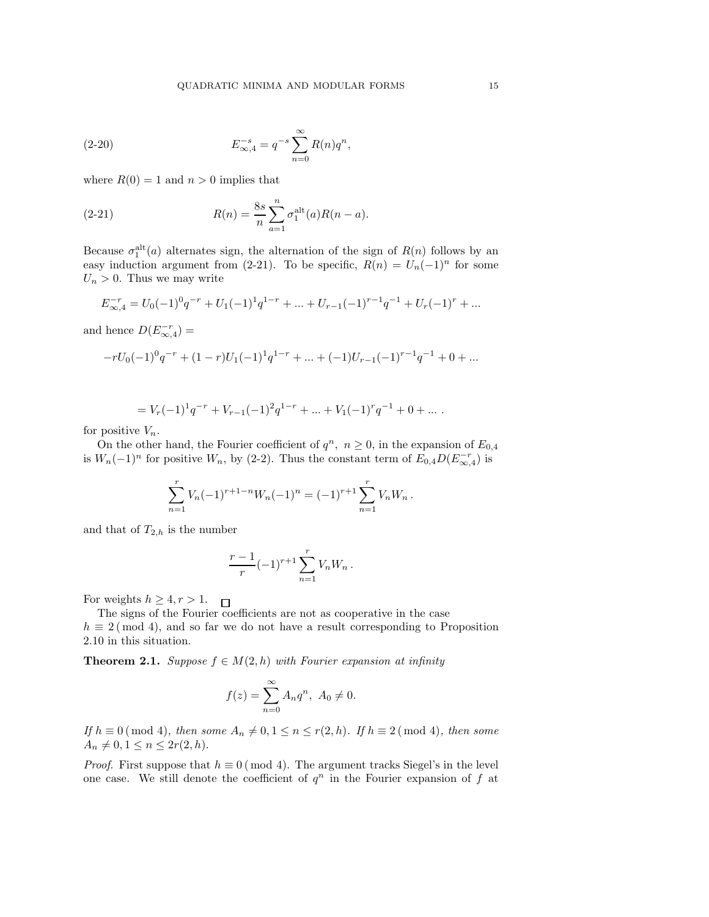(2-20) 
$$
E_{\infty,4}^{-s} = q^{-s} \sum_{n=0}^{\infty} R(n)q^{n},
$$

where  $R(0) = 1$  and  $n > 0$  implies that

(2-21) 
$$
R(n) = \frac{8s}{n} \sum_{a=1}^{n} \sigma_1^{\text{alt}}(a) R(n-a).
$$

Because  $\sigma_1^{\text{alt}}(a)$  alternates sign, the alternation of the sign of  $R(n)$  follows by an easy induction argument from (2-21). To be specific,  $R(n) = U_n(-1)^n$  for some  $U_n > 0$ . Thus we may write

$$
E_{\infty,4}^{-r} = U_0(-1)^0 q^{-r} + U_1(-1)^1 q^{1-r} + \dots + U_{r-1}(-1)^{r-1} q^{-1} + U_r(-1)^r + \dots
$$

and hence  $D(E_{\infty,4}^{-r})$  =

$$
-rU_0(-1)^0q^{-r} + (1-r)U_1(-1)^1q^{1-r} + \dots + (-1)U_{r-1}(-1)^{r-1}q^{-1} + 0 + \dots
$$

$$
= V_r(-1)^1 q^{-r} + V_{r-1}(-1)^2 q^{1-r} + \dots + V_1(-1)^r q^{-1} + 0 + \dots.
$$

for positive  $V_n$ .

On the other hand, the Fourier coefficient of  $q^n$ ,  $n \geq 0$ , in the expansion of  $E_{0,4}$ is  $W_n(-1)^n$  for positive  $W_n$ , by (2-2). Thus the constant term of  $E_{0,4}D(E_{\infty,4}^{-r})$  is

$$
\sum_{n=1}^{r} V_n(-1)^{r+1-n} W_n(-1)^n = (-1)^{r+1} \sum_{n=1}^{r} V_n W_n.
$$

and that of  $T_{2,h}$  is the number

$$
\frac{r-1}{r}(-1)^{r+1}\sum_{n=1}^{r}V_nW_n\,.
$$

For weights  $h \geq 4, r > 1$ .  $\Box$ 

The signs of the Fourier coefficients are not as cooperative in the case  $h \equiv 2 \pmod{4}$ , and so far we do not have a result corresponding to Proposition 2.10 in this situation.

**Theorem 2.1.** *Suppose*  $f \in M(2, h)$  *with Fourier expansion at infinity* 

$$
f(z) = \sum_{n=0}^{\infty} A_n q^n, \ A_0 \neq 0.
$$

*If*  $h \equiv 0 \pmod{4}$ *, then some*  $A_n \neq 0, 1 \leq n \leq r(2, h)$ *. If*  $h \equiv 2 \pmod{4}$ *, then some*  $A_n \neq 0, 1 \leq n \leq 2r(2, h).$ 

*Proof.* First suppose that  $h \equiv 0 \pmod{4}$ . The argument tracks Siegel's in the level one case. We still denote the coefficient of  $q^n$  in the Fourier expansion of f at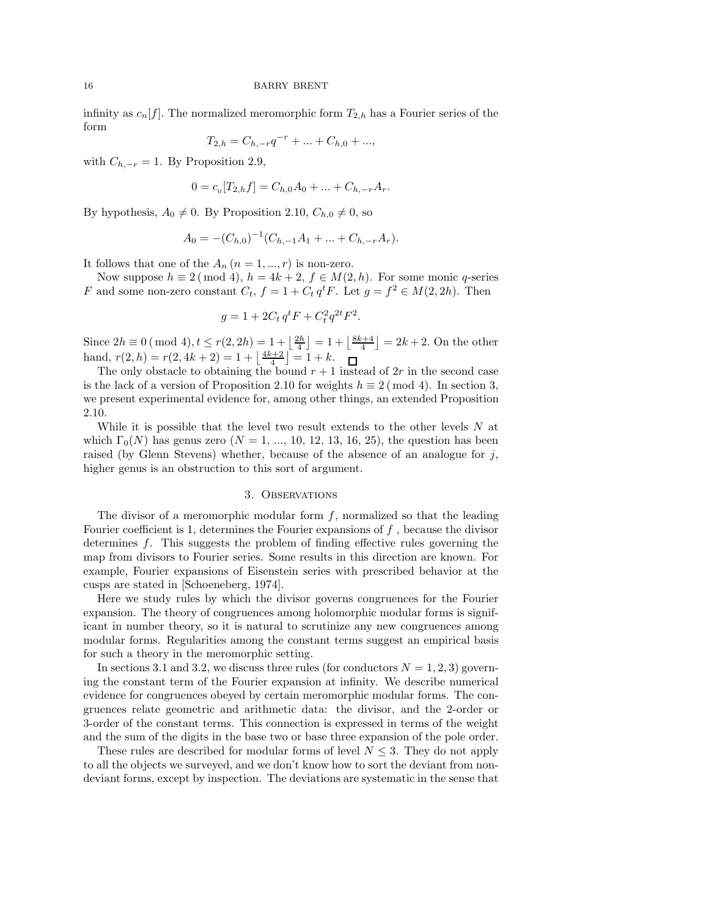infinity as  $c_n[f]$ . The normalized meromorphic form  $T_{2,h}$  has a Fourier series of the form

$$
T_{2,h} = C_{h,-r}q^{-r} + \dots + C_{h,0} + \dots,
$$

with  $C_{h,-r} = 1$ . By Proposition 2.9,

$$
0 = c_0[T_{2,h}f] = C_{h,0}A_0 + \dots + C_{h,-r}A_r.
$$

By hypothesis,  $A_0 \neq 0$ . By Proposition 2.10,  $C_{h,0} \neq 0$ , so

$$
A_0 = -(C_{h,0})^{-1}(C_{h,-1}A_1 + \dots + C_{h,-r}A_r).
$$

It follows that one of the  $A_n$   $(n = 1, ..., r)$  is non-zero.

Now suppose  $h \equiv 2 \pmod{4}$ ,  $h = 4k + 2$ ,  $f \in M(2, h)$ . For some monic q-series F and some non-zero constant  $C_t$ ,  $f = 1 + C_t q^t F$ . Let  $g = f^2 \in M(2, 2h)$ . Then

$$
g = 1 + 2C_t q^t F + C_t^2 q^{2t} F^2.
$$

Since  $2h \equiv 0 \pmod{4}$ ,  $t \le r(2, 2h) = 1 + \left\lfloor \frac{2h}{4} \right\rfloor = 1 + \left\lfloor \frac{8k+4}{4} \right\rfloor = 2k+2$ . On the other hand,  $r(2, h) = r(2, 4k + 2) = 1 + \left\lfloor \frac{4k+2}{4} \right\rfloor = 1 + k.$ 

The only obstacle to obtaining the bound  $r + 1$  instead of  $2r$  in the second case is the lack of a version of Proposition 2.10 for weights  $h \equiv 2 \pmod{4}$ . In section 3, we present experimental evidence for, among other things, an extended Proposition 2.10.

While it is possible that the level two result extends to the other levels N at which  $\Gamma_0(N)$  has genus zero  $(N = 1, ..., 10, 12, 13, 16, 25)$ , the question has been raised (by Glenn Stevens) whether, because of the absence of an analogue for  $j$ , higher genus is an obstruction to this sort of argument.

# 3. Observations

The divisor of a meromorphic modular form  $f$ , normalized so that the leading Fourier coefficient is 1, determines the Fourier expansions of  $f$ , because the divisor determines f. This suggests the problem of finding effective rules governing the map from divisors to Fourier series. Some results in this direction are known. For example, Fourier expansions of Eisenstein series with prescribed behavior at the cusps are stated in [Schoeneberg, 1974].

Here we study rules by which the divisor governs congruences for the Fourier expansion. The theory of congruences among holomorphic modular forms is significant in number theory, so it is natural to scrutinize any new congruences among modular forms. Regularities among the constant terms suggest an empirical basis for such a theory in the meromorphic setting.

In sections 3.1 and 3.2, we discuss three rules (for conductors  $N = 1, 2, 3$ ) governing the constant term of the Fourier expansion at infinity. We describe numerical evidence for congruences obeyed by certain meromorphic modular forms. The congruences relate geometric and arithmetic data: the divisor, and the 2-order or 3-order of the constant terms. This connection is expressed in terms of the weight and the sum of the digits in the base two or base three expansion of the pole order.

These rules are described for modular forms of level  $N \leq 3$ . They do not apply to all the objects we surveyed, and we don't know how to sort the deviant from nondeviant forms, except by inspection. The deviations are systematic in the sense that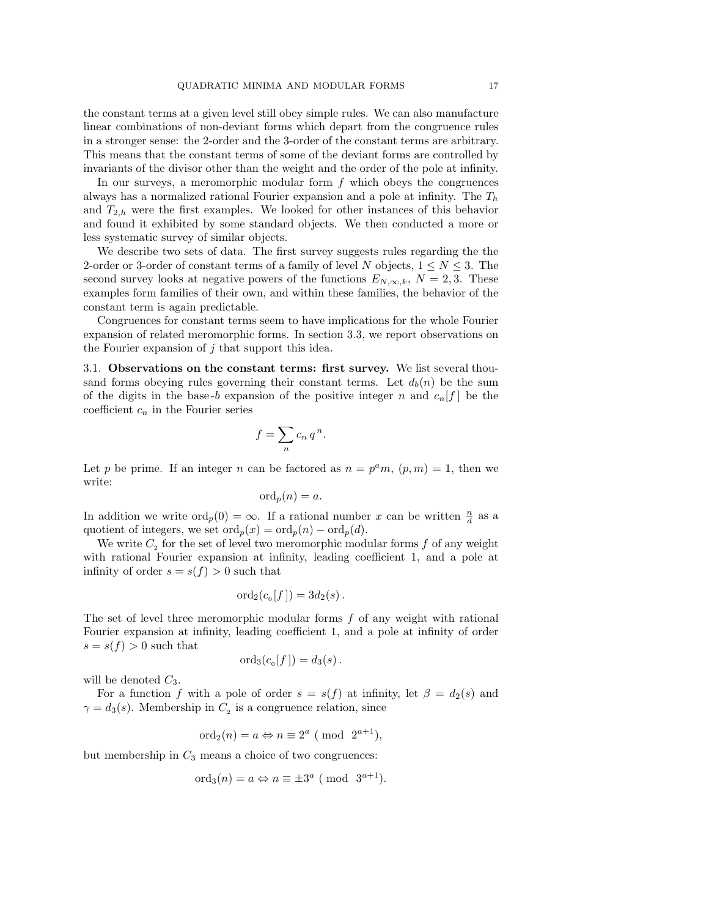the constant terms at a given level still obey simple rules. We can also manufacture linear combinations of non-deviant forms which depart from the congruence rules in a stronger sense: the 2-order and the 3-order of the constant terms are arbitrary. This means that the constant terms of some of the deviant forms are controlled by invariants of the divisor other than the weight and the order of the pole at infinity.

In our surveys, a meromorphic modular form  $f$  which obeys the congruences always has a normalized rational Fourier expansion and a pole at infinity. The  $T_h$ and  $T_{2,h}$  were the first examples. We looked for other instances of this behavior and found it exhibited by some standard objects. We then conducted a more or less systematic survey of similar objects.

We describe two sets of data. The first survey suggests rules regarding the the 2-order or 3-order of constant terms of a family of level N objects,  $1 \leq N \leq 3$ . The second survey looks at negative powers of the functions  $E_{N,\infty,k}$ ,  $N=2,3$ . These examples form families of their own, and within these families, the behavior of the constant term is again predictable.

Congruences for constant terms seem to have implications for the whole Fourier expansion of related meromorphic forms. In section 3.3, we report observations on the Fourier expansion of  $j$  that support this idea.

3.1. Observations on the constant terms: first survey. We list several thousand forms obeying rules governing their constant terms. Let  $d_b(n)$  be the sum of the digits in the base-b expansion of the positive integer n and  $c_n[f]$  be the coefficient  $c_n$  in the Fourier series

$$
f = \sum_{n} c_n q^n.
$$

Let p be prime. If an integer n can be factored as  $n = p^a m$ ,  $(p, m) = 1$ , then we write:

$$
\mathrm{ord}_p(n) = a.
$$

In addition we write  $\text{ord}_p(0) = \infty$ . If a rational number x can be written  $\frac{n}{d}$  as a quotient of integers, we set  $\text{ord}_p(x) = \text{ord}_p(n) - \text{ord}_p(d)$ .

We write  $C_2$  for the set of level two meromorphic modular forms f of any weight with rational Fourier expansion at infinity, leading coefficient 1, and a pole at infinity of order  $s = s(f) > 0$  such that

$$
\mathrm{ord}_2(c_{\scriptscriptstyle 0}[f]) = 3d_2(s).
$$

The set of level three meromorphic modular forms  $f$  of any weight with rational Fourier expansion at infinity, leading coefficient 1, and a pole at infinity of order  $s = s(f) > 0$  such that

$$
\mathrm{ord}_3(c_{\scriptscriptstyle 0}[f]) = d_3(s).
$$

will be denoted  $C_3$ .

For a function f with a pole of order  $s = s(f)$  at infinity, let  $\beta = d_2(s)$  and  $\gamma = d_3(s)$ . Membership in  $C_2$  is a congruence relation, since

$$
\text{ord}_2(n) = a \Leftrightarrow n \equiv 2^a \pmod{2^{a+1}},
$$

but membership in  $C_3$  means a choice of two congruences:

$$
\text{ord}_3(n) = a \Leftrightarrow n \equiv \pm 3^a \pmod{3^{a+1}}.
$$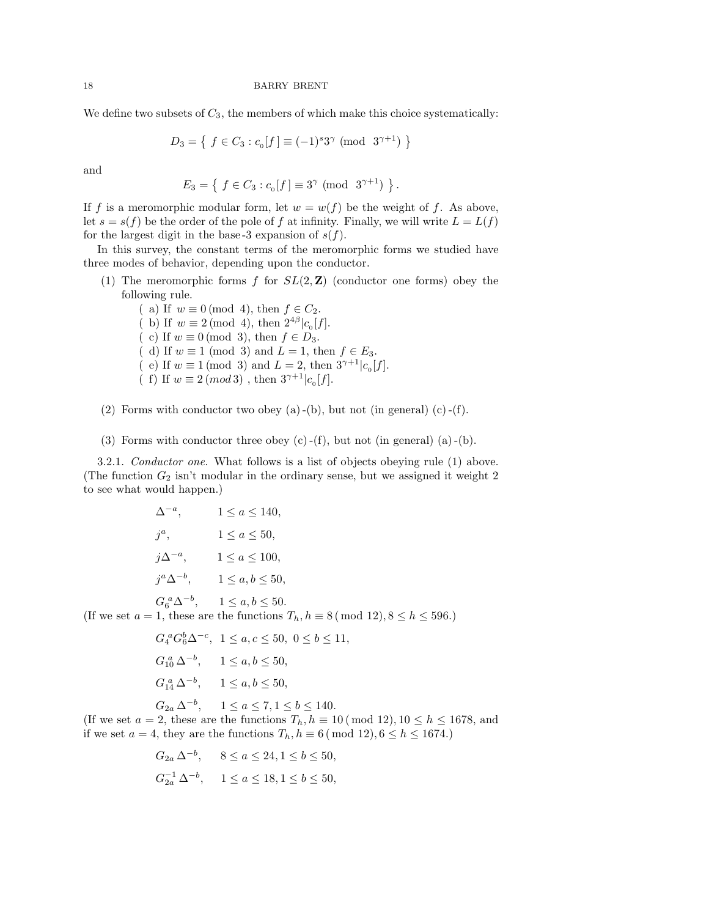We define two subsets of  $C_3$ , the members of which make this choice systematically:

$$
D_3 = \left\{ \ f \in C_3 : c_{\scriptscriptstyle 0}[f] \equiv (-1)^s 3^{\gamma} \ (\text{mod } 3^{\gamma + 1}) \ \right\}
$$

and

$$
E_3 = \{ f \in C_3 : c_0[f] \equiv 3^{\gamma} \pmod{3^{\gamma+1}} \}
$$

.

If f is a meromorphic modular form, let  $w = w(f)$  be the weight of f. As above, let  $s = s(f)$  be the order of the pole of f at infinity. Finally, we will write  $L = L(f)$ for the largest digit in the base-3 expansion of  $s(f)$ .

In this survey, the constant terms of the meromorphic forms we studied have three modes of behavior, depending upon the conductor.

(1) The meromorphic forms f for  $SL(2, \mathbb{Z})$  (conductor one forms) obey the following rule.

( a) If  $w \equiv 0 \pmod{4}$ , then  $f \in C_2$ . (b) If  $w \equiv 2 \pmod{4}$ , then  $2^{4\beta} |c_{0}[f]$ . ( c) If  $w \equiv 0 \pmod{3}$ , then  $f \in D_3$ . ( d) If  $w \equiv 1 \pmod{3}$  and  $L = 1$ , then  $f \in E_3$ . ( e) If  $w \equiv 1 \pmod{3}$  and  $L = 2$ , then  $3^{\gamma+1}|c_{0}[f]$ . (f) If  $w \equiv 2 \pmod{3}$ , then  $3^{\gamma+1} |c_{0}[f]$ .

(2) Forms with conductor two obey (a)-(b), but not (in general) (c)-(f).

(3) Forms with conductor three obey  $(c)$  -(f), but not (in general) (a) -(b).

3.2.1. *Conductor one.* What follows is a list of objects obeying rule (1) above. (The function  $G_2$  isn't modular in the ordinary sense, but we assigned it weight 2 to see what would happen.)

$$
\Delta^{-a}, \qquad 1 \le a \le 140,
$$
  
\n
$$
j^a, \qquad 1 \le a \le 50,
$$
  
\n
$$
j\Delta^{-a}, \qquad 1 \le a \le 100,
$$
  
\n
$$
j^a \Delta^{-b}, \qquad 1 \le a, b \le 50,
$$
  
\n
$$
G_6^a \Delta^{-b}, \qquad 1 \le a, b \le 50.
$$

(If we set  $a = 1$ , these are the functions  $T_h$ ,  $h \equiv 8 \pmod{12}$ ,  $8 \le h \le 596$ .)

$$
G_4^a G_6^b \Delta^{-c}, \quad 1 \le a, c \le 50, \quad 0 \le b \le 11,
$$
  
\n
$$
G_{10}^a \Delta^{-b}, \qquad 1 \le a, b \le 50,
$$
  
\n
$$
G_{14}^a \Delta^{-b}, \qquad 1 \le a, b \le 50,
$$
  
\n
$$
G_{2a} \Delta^{-b}, \qquad 1 \le a \le 7, 1 \le b \le 140.
$$

(If we set  $a = 2$ , these are the functions  $T_h$ ,  $h \equiv 10 \pmod{12}$ ,  $10 \le h \le 1678$ , and if we set  $a = 4$ , they are the functions  $T_h$ ,  $h \equiv 6 \pmod{12}$ ,  $6 \le h \le 1674$ .

$$
G_{2a} \Delta^{-b}
$$
,  $8 \le a \le 24, 1 \le b \le 50$ ,  
 $G_{2a}^{-1} \Delta^{-b}$ ,  $1 \le a \le 18, 1 \le b \le 50$ ,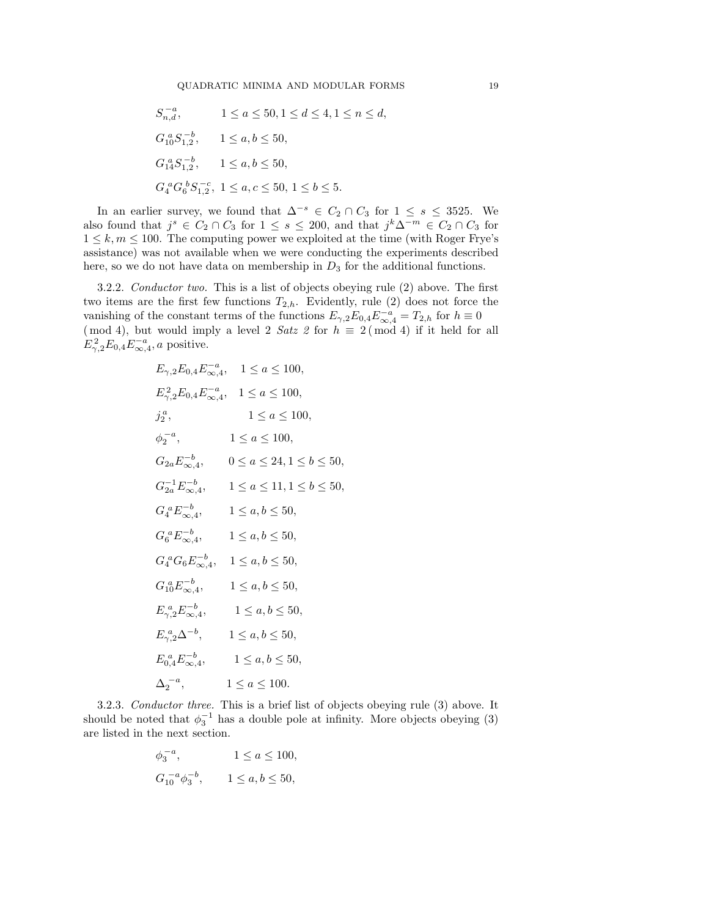$$
S_{n,d}^{-a}, \t 1 \le a \le 50, 1 \le d \le 4, 1 \le n \le d,
$$
  
\n
$$
G_{10}^a S_{1,2}^{-b}, \t 1 \le a, b \le 50,
$$
  
\n
$$
G_{14}^a S_{1,2}^{-b}, \t 1 \le a, b \le 50,
$$
  
\n
$$
G_4^a G_6^b S_{1,2}^{-c}, \t 1 \le a, c \le 50, 1 \le b \le 5.
$$

In an earlier survey, we found that  $\Delta^{-s} \in C_2 \cap C_3$  for  $1 \leq s \leq 3525$ . We also found that  $j^s \in C_2 \cap C_3$  for  $1 \leq s \leq 200$ , and that  $j^k \Delta^{-m} \in C_2 \cap C_3$  for  $1 \leq k, m \leq 100$ . The computing power we exploited at the time (with Roger Frye's assistance) was not available when we were conducting the experiments described here, so we do not have data on membership in  $D_3$  for the additional functions.

3.2.2. *Conductor two.* This is a list of objects obeying rule (2) above. The first two items are the first few functions  $T_{2,h}$ . Evidently, rule (2) does not force the vanishing of the constant terms of the functions  $E_{\gamma,2}E_{0,4}E_{\infty,4}^{-a}=T_{2,h}$  for  $h\equiv 0$ (mod 4), but would imply a level 2 *Satz 2* for  $h \equiv 2 \pmod{4}$  if it held for all  $E_{\gamma,2}^2 E_{0,4} E_{\infty,4}^{-a}, a$  positive.

$$
E_{\gamma,2}E_{0,4}E_{\infty,4}^{-a}, \quad 1 \le a \le 100,
$$
  
\n
$$
E_{\gamma,2}^2E_{0,4}E_{\infty,4}^{-a}, \quad 1 \le a \le 100,
$$
  
\n
$$
j_2^a, \quad 1 \le a \le 100,
$$
  
\n
$$
\phi_2^{-a}, \quad 1 \le a \le 100,
$$
  
\n
$$
G_{2a}E_{\infty,4}^{-b}, \quad 0 \le a \le 24, 1 \le b \le 50,
$$
  
\n
$$
G_2^{-1}E_{\infty,4}^{-b}, \quad 1 \le a \le 11, 1 \le b \le 50,
$$
  
\n
$$
G_4^aE_{\infty,4}^{-b}, \quad 1 \le a, b \le 50,
$$
  
\n
$$
G_4^aG_6E_{\infty,4}^{-b}, \quad 1 \le a, b \le 50,
$$
  
\n
$$
G_4^aG_6E_{\infty,4}^{-b}, \quad 1 \le a, b \le 50,
$$
  
\n
$$
G_{10}^aE_{\infty,4}^{-b}, \quad 1 \le a, b \le 50,
$$
  
\n
$$
E_{\gamma,2}^aE_{\infty,4}^{-b}, \quad 1 \le a, b \le 50,
$$
  
\n
$$
E_{\gamma,2}^aE_{\infty,4}^{-b}, \quad 1 \le a, b \le 50,
$$
  
\n
$$
E_{\gamma,2}^aE_{\infty,4}^{-b}, \quad 1 \le a, b \le 50,
$$
  
\n
$$
E_{0,4}^aE_{\infty,4}^{-b}, \quad 1 \le a, b \le 50,
$$
  
\n
$$
\Delta_2^{-a}, \quad 1 \le a \le 100.
$$

3.2.3. *Conductor three.* This is a brief list of objects obeying rule (3) above. It should be noted that  $\phi_3^{-1}$  has a double pole at infinity. More objects obeying (3) are listed in the next section.

$$
\phi_3^{-a}
$$
,  $1 \le a \le 100$ ,  
\n $G_{10}^{-a} \phi_3^{-b}$ ,  $1 \le a, b \le 50$ ,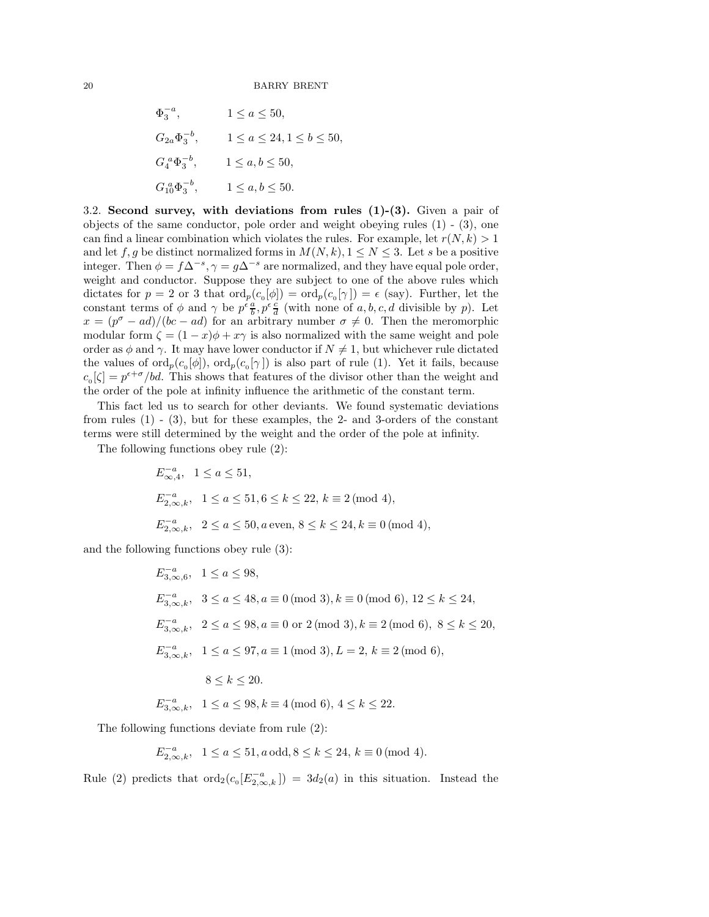$$
\Phi_3^{-a}, \qquad 1 \le a \le 50,
$$
  
\n
$$
G_{2a} \Phi_3^{-b}, \qquad 1 \le a \le 24, 1 \le b \le 50,
$$
  
\n
$$
G_4^a \Phi_3^{-b}, \qquad 1 \le a, b \le 50,
$$
  
\n
$$
G_{10}^a \Phi_3^{-b}, \qquad 1 \le a, b \le 50.
$$

3.2. Second survey, with deviations from rules  $(1)-(3)$ . Given a pair of objects of the same conductor, pole order and weight obeying rules (1) - (3), one can find a linear combination which violates the rules. For example, let  $r(N, k) > 1$ and let f, g be distinct normalized forms in  $M(N, k)$ ,  $1 \leq N \leq 3$ . Let s be a positive integer. Then  $\phi = f\Delta^{-s}, \gamma = g\Delta^{-s}$  are normalized, and they have equal pole order, weight and conductor. Suppose they are subject to one of the above rules which dictates for  $p = 2$  or 3 that  $\text{ord}_p(c_0[\phi]) = \text{ord}_p(c_0[\gamma]) = \epsilon$  (say). Further, let the constant terms of  $\phi$  and  $\gamma$  be  $p^{\epsilon} \frac{a}{b}$ ,  $p^{\epsilon} \frac{c}{d}$  (with none of a, b, c, d divisible by p). Let  $x = (p^{\sigma} - ad)/(bc - ad)$  for an arbitrary number  $\sigma \neq 0$ . Then the meromorphic modular form  $\zeta = (1-x)\phi + x\gamma$  is also normalized with the same weight and pole order as  $\phi$  and  $\gamma$ . It may have lower conductor if  $N \neq 1$ , but whichever rule dictated the values of  $\text{ord}_p(c_0[\phi])$ ,  $\text{ord}_p(c_0[\gamma])$  is also part of rule (1). Yet it fails, because  $c_0[\zeta] = p^{\epsilon+\sigma}/bd$ . This shows that features of the divisor other than the weight and the order of the pole at infinity influence the arithmetic of the constant term.

This fact led us to search for other deviants. We found systematic deviations from rules (1) - (3), but for these examples, the 2- and 3-orders of the constant terms were still determined by the weight and the order of the pole at infinity.

The following functions obey rule (2):

$$
E_{\infty,4}^{-a}, \quad 1 \le a \le 51,
$$
  
\n
$$
E_{2,\infty,k}^{-a}, \quad 1 \le a \le 51, 6 \le k \le 22, \ k \equiv 2 \pmod{4},
$$
  
\n
$$
E_{2,\infty,k}^{-a}, \quad 2 \le a \le 50, a \text{ even}, \ 8 \le k \le 24, k \equiv 0 \pmod{4},
$$

and the following functions obey rule (3):

$$
E_{3,\infty,6}^{-a}, \quad 1 \le a \le 98,
$$
  
\n
$$
E_{3,\infty,k}^{-a}, \quad 3 \le a \le 48, a \equiv 0 \pmod{3}, k \equiv 0 \pmod{6}, 12 \le k \le 24,
$$
  
\n
$$
E_{3,\infty,k}^{-a}, \quad 2 \le a \le 98, a \equiv 0 \text{ or } 2 \pmod{3}, k \equiv 2 \pmod{6}, 8 \le k \le 20,
$$
  
\n
$$
E_{3,\infty,k}^{-a}, \quad 1 \le a \le 97, a \equiv 1 \pmod{3}, L = 2, k \equiv 2 \pmod{6},
$$
  
\n
$$
8 \le k \le 20.
$$
  
\n
$$
E_{3,\infty,k}^{-a}, \quad 1 \le a \le 98, k \equiv 4 \pmod{6}, 4 \le k \le 22.
$$

The following functions deviate from rule (2):

$$
E_{2,\infty,k}^{-a}, \ \ 1 \le a \le 51, a \text{ odd}, 8 \le k \le 24, k \equiv 0 \pmod{4}.
$$

Rule (2) predicts that  $\text{ord}_2(c_0[E_{2,\infty,k}^{-a}]) = 3d_2(a)$  in this situation. Instead the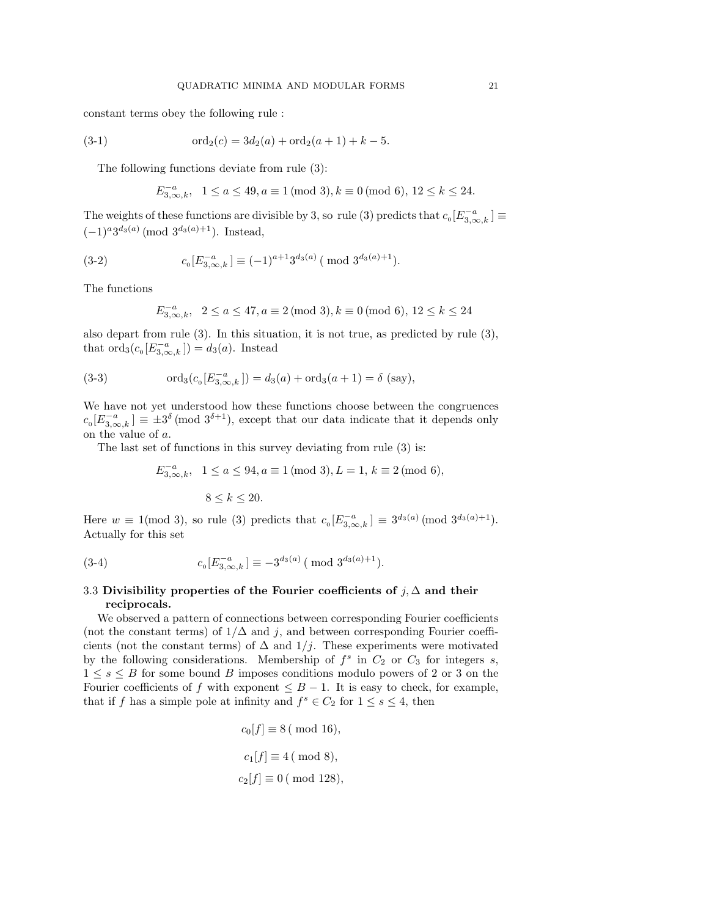constant terms obey the following rule :

(3-1) 
$$
\text{ord}_2(c) = 3d_2(a) + \text{ord}_2(a+1) + k - 5.
$$

The following functions deviate from rule (3):

$$
E_{3,\infty,k}^{-a}, \ \ 1 \le a \le 49, a \equiv 1 \ (\text{mod}\ 3), k \equiv 0 \ (\text{mod}\ 6), \ 12 \le k \le 24.
$$

The weights of these functions are divisible by 3, so rule (3) predicts that  $c_0[E_{3,\infty,k}^{-a}] \equiv$  $(-1)^a 3^{d_3(a)} \pmod{3^{d_3(a)+1}}$ . Instead,

(3-2) 
$$
c_{\mathfrak{0}}[E_{3,\infty,k}^{-a}] \equiv (-1)^{a+1} 3^{d_3(a)} \pmod{3^{d_3(a)+1}}.
$$

The functions

$$
E_{3,\infty,k}^{-a}, \ \ 2 \le a \le 47, a \equiv 2 \pmod{3}, k \equiv 0 \pmod{6}, 12 \le k \le 24
$$

also depart from rule (3). In this situation, it is not true, as predicted by rule (3), that  $\text{ord}_3(c_0[E_{3,\infty,k}^{-a}]) = d_3(a)$ . Instead

(3-3) 
$$
\text{ord}_3(c_0[E_{3,\infty,k}^{-a}]) = d_3(a) + \text{ord}_3(a+1) = \delta \text{ (say)},
$$

We have not yet understood how these functions choose between the congruences  $c_0[E_{3,\infty,k}^{-a}] \equiv \pm 3^{\delta} \pmod{3^{\delta+1}}$ , except that our data indicate that it depends only on the value of a.

The last set of functions in this survey deviating from rule (3) is:

$$
E_{3,\infty,k}^{-a}, \ \ 1 \le a \le 94, a \equiv 1 \ (\text{mod } 3), L = 1, k \equiv 2 \ (\text{mod } 6),
$$

$$
8 \le k \le 20.
$$

Here  $w \equiv 1 \pmod{3}$ , so rule (3) predicts that  $c_0[E_{3,\infty,k}^{-a}] \equiv 3^{d_3(a)} \pmod{3^{d_3(a)+1}}$ . Actually for this set

(3-4) 
$$
c_0[E_{3,\infty,k}^{-a}] \equiv -3^{d_3(a)} \pmod{3^{d_3(a)+1}}.
$$

# 3.3 Divisibility properties of the Fourier coefficients of  $j, \Delta$  and their reciprocals.

We observed a pattern of connections between corresponding Fourier coefficients (not the constant terms) of  $1/\Delta$  and j, and between corresponding Fourier coefficients (not the constant terms) of  $\Delta$  and  $1/j$ . These experiments were motivated by the following considerations. Membership of  $f^s$  in  $C_2$  or  $C_3$  for integers s,  $1 \leq s \leq B$  for some bound B imposes conditions modulo powers of 2 or 3 on the Fourier coefficients of f with exponent  $\leq B-1$ . It is easy to check, for example, that if f has a simple pole at infinity and  $f^s \in C_2$  for  $1 \leq s \leq 4$ , then

$$
c_0[f] \equiv 8 \pmod{16},
$$
  

$$
c_1[f] \equiv 4 \pmod{8},
$$
  

$$
c_2[f] \equiv 0 \pmod{128},
$$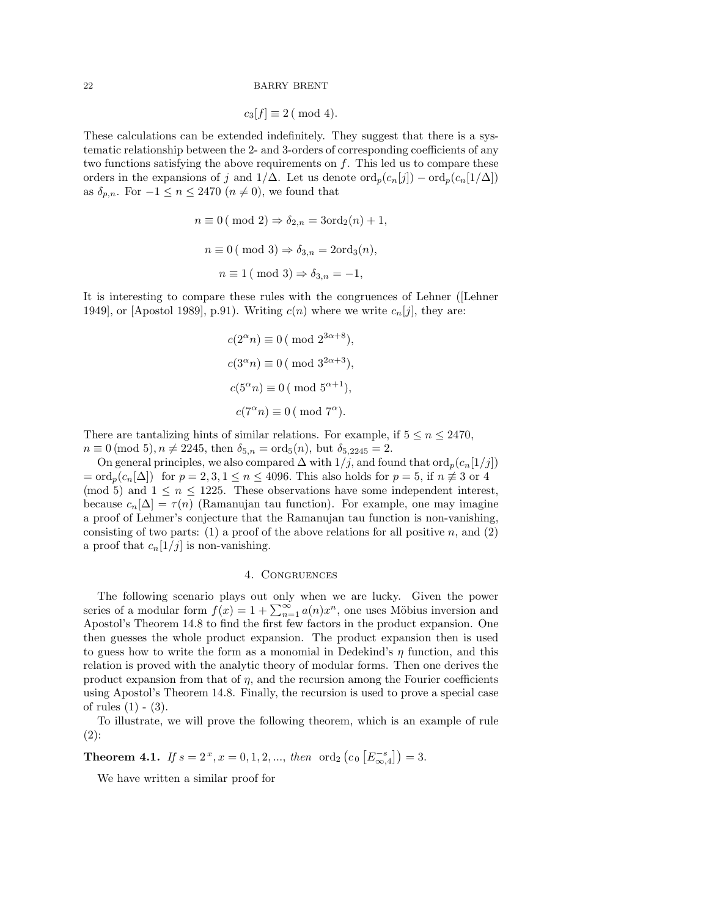$$
c_3[f] \equiv 2 \ (\bmod 4).
$$

These calculations can be extended indefinitely. They suggest that there is a systematic relationship between the 2- and 3-orders of corresponding coefficients of any two functions satisfying the above requirements on  $f$ . This led us to compare these orders in the expansions of j and  $1/\Delta$ . Let us denote  $\text{ord}_p(c_n[j]) - \text{ord}_p(c_n[1/\Delta])$ as  $\delta_{p,n}$ . For  $-1 \leq n \leq 2470$   $(n \neq 0)$ , we found that

$$
n \equiv 0 \pmod{2} \Rightarrow \delta_{2,n} = 3 \text{ord}_2(n) + 1,
$$
  

$$
n \equiv 0 \pmod{3} \Rightarrow \delta_{3,n} = 2 \text{ord}_3(n),
$$
  

$$
n \equiv 1 \pmod{3} \Rightarrow \delta_{3,n} = -1,
$$

It is interesting to compare these rules with the congruences of Lehner ([Lehner 1949], or [Apostol 1989], p.91). Writing  $c(n)$  where we write  $c_n[j]$ , they are:

$$
c(2^{\alpha}n) \equiv 0 \pmod{2^{3\alpha+8}},
$$
  

$$
c(3^{\alpha}n) \equiv 0 \pmod{3^{2\alpha+3}},
$$
  

$$
c(5^{\alpha}n) \equiv 0 \pmod{5^{\alpha+1}},
$$
  

$$
c(7^{\alpha}n) \equiv 0 \pmod{7^{\alpha}}.
$$

There are tantalizing hints of similar relations. For example, if  $5 \le n \le 2470$ ,  $n \equiv 0 \pmod{5}, n \neq 2245$ , then  $\delta_{5,n} = \text{ord}_5(n)$ , but  $\delta_{5,2245} = 2$ .

On general principles, we also compared  $\Delta$  with  $1/j$ , and found that ord $_p(c_n[1/j])$  $=\text{ord}_p(c_n[\Delta])$  for  $p=2,3, 1 \leq n \leq 4096$ . This also holds for  $p=5$ , if  $n \not\equiv 3$  or 4 (mod 5) and  $1 \leq n \leq 1225$ . These observations have some independent interest, because  $c_n[\Delta] = \tau(n)$  (Ramanujan tau function). For example, one may imagine a proof of Lehmer's conjecture that the Ramanujan tau function is non-vanishing, consisting of two parts: (1) a proof of the above relations for all positive n, and (2) a proof that  $c_n[1/j]$  is non-vanishing.

# 4. Congruences

The following scenario plays out only when we are lucky. Given the power series of a modular form  $f(x) = 1 + \sum_{n=1}^{\infty} a(n)x^n$ , one uses Möbius inversion and Apostol's Theorem 14.8 to find the first few factors in the product expansion. One then guesses the whole product expansion. The product expansion then is used to guess how to write the form as a monomial in Dedekind's  $\eta$  function, and this relation is proved with the analytic theory of modular forms. Then one derives the product expansion from that of  $\eta$ , and the recursion among the Fourier coefficients using Apostol's Theorem 14.8. Finally, the recursion is used to prove a special case of rules  $(1) - (3)$ .

To illustrate, we will prove the following theorem, which is an example of rule (2):

**Theorem 4.1.** *If*  $s = 2^x$ ,  $x = 0, 1, 2, ...,$  *then* ord<sub>2</sub>  $(c_0 [E_{\infty,4}^{-s}]) = 3$ .

We have written a similar proof for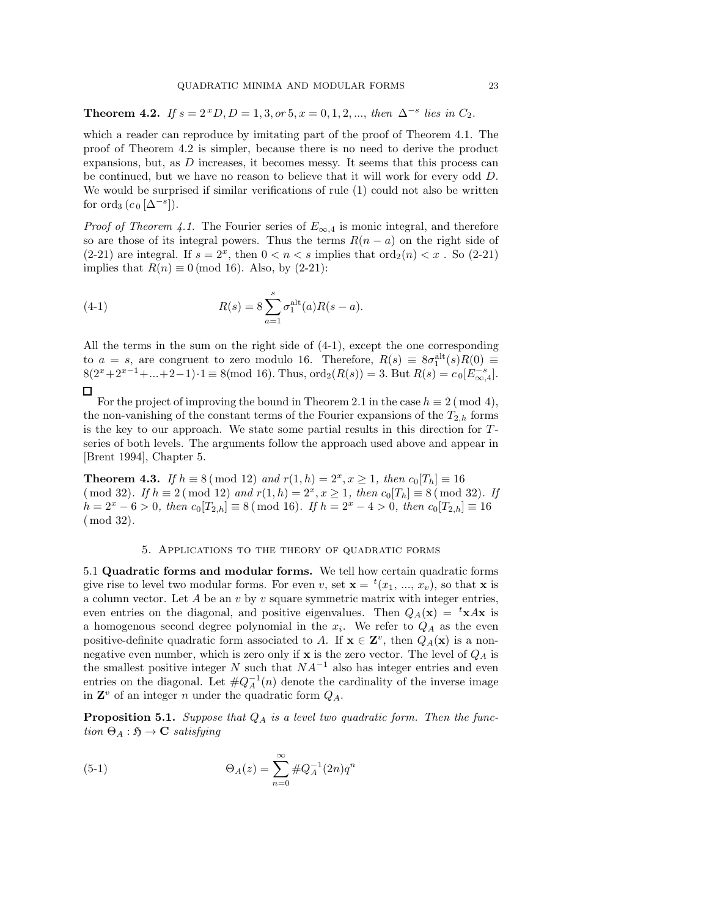Theorem 4.2. *If*  $s = 2^x D, D = 1, 3, or 5, x = 0, 1, 2, ...,$  *then*  $\Delta^{-s}$  *lies in*  $C_2$ *.* 

which a reader can reproduce by imitating part of the proof of Theorem 4.1. The proof of Theorem 4.2 is simpler, because there is no need to derive the product expansions, but, as D increases, it becomes messy. It seems that this process can be continued, but we have no reason to believe that it will work for every odd D. We would be surprised if similar verifications of rule (1) could not also be written for ord<sub>3</sub>  $(c_0 [Δ^{-s}]).$ 

*Proof of Theorem 4.1.* The Fourier series of  $E_{\infty,4}$  is monic integral, and therefore so are those of its integral powers. Thus the terms  $R(n - a)$  on the right side of (2-21) are integral. If  $s = 2^x$ , then  $0 < n < s$  implies that  $\text{ord}_2(n) < x$ . So (2-21) implies that  $R(n) \equiv 0 \pmod{16}$ . Also, by (2-21):

(4-1) 
$$
R(s) = 8 \sum_{a=1}^{s} \sigma_1^{\text{alt}}(a) R(s-a).
$$

All the terms in the sum on the right side of (4-1), except the one corresponding to  $a = s$ , are congruent to zero modulo 16. Therefore,  $R(s) \equiv 8\sigma_1^{\text{alt}}(s)R(0) \equiv$  $8(2^x+2^{x-1}+\ldots+2-1)\cdot 1 \equiv 8 \pmod{16}$ . Thus,  $\text{ord}_2(R(s)) = 3$ . But  $R(s) = c_0[E_{\infty,4}^{-s}]$ .  $\Box$ 

For the project of improving the bound in Theorem 2.1 in the case  $h \equiv 2 \pmod{4}$ , the non-vanishing of the constant terms of the Fourier expansions of the  $T_{2,h}$  forms is the key to our approach. We state some partial results in this direction for  $T$ series of both levels. The arguments follow the approach used above and appear in [Brent 1994], Chapter 5.

**Theorem 4.3.** *If*  $h \equiv 8 \pmod{12}$  *and*  $r(1, h) = 2^x, x \ge 1$ , *then*  $c_0[T_h] \equiv 16$  $(mod 32)$ *. If*  $h \equiv 2 \pmod{12}$  and  $r(1, h) = 2^x, x \ge 1$ , then  $c_0[T_h] \equiv 8 \pmod{32}$ *. If*  $h = 2<sup>x</sup> - 6 > 0$ , then  $c_0[T_{2,h}] ≡ 8 \pmod{16}$ *. If*  $h = 2<sup>x</sup> - 4 > 0$ , then  $c_0[T_{2,h}] ≡ 16$ ( mod 32)*.*

## 5. Applications to the theory of quadratic forms

5.1 Quadratic forms and modular forms. We tell how certain quadratic forms give rise to level two modular forms. For even v, set  $\mathbf{x} = {}^{t}(x_1, ..., x_v)$ , so that x is a column vector. Let  $A$  be an  $v$  by  $v$  square symmetric matrix with integer entries, even entries on the diagonal, and positive eigenvalues. Then  $Q_A(\mathbf{x}) = {}^t\mathbf{x} A\mathbf{x}$  is a homogenous second degree polynomial in the  $x_i$ . We refer to  $Q_A$  as the even positive-definite quadratic form associated to A. If  $\mathbf{x} \in \mathbf{Z}^v$ , then  $Q_A(\mathbf{x})$  is a nonnegative even number, which is zero only if  $x$  is the zero vector. The level of  $Q_A$  is the smallest positive integer N such that  $NA^{-1}$  also has integer entries and even entries on the diagonal. Let  $\#Q_A^{-1}(n)$  denote the cardinality of the inverse image in  $\mathbf{Z}^v$  of an integer n under the quadratic form  $Q_A$ .

**Proposition 5.1.** *Suppose that*  $Q_A$  *is a level two quadratic form. Then the func-* $\text{tion } \Theta_A : \mathfrak{H} \to \mathbf{C} \text{ satisfying}$ 

(5-1) 
$$
\Theta_A(z) = \sum_{n=0}^{\infty} \#Q_A^{-1}(2n)q^n
$$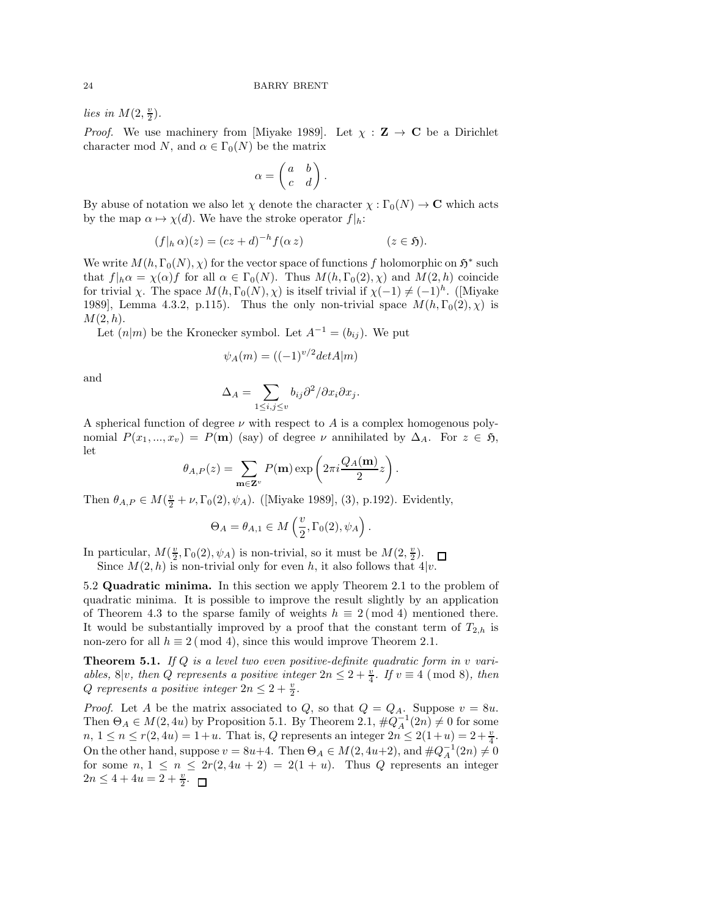*lies in*  $M(2, \frac{v}{2})$ .

*Proof.* We use machinery from [Miyake 1989]. Let  $\chi : \mathbf{Z} \to \mathbf{C}$  be a Dirichlet character mod N, and  $\alpha \in \Gamma_0(N)$  be the matrix

$$
\alpha = \begin{pmatrix} a & b \\ c & d \end{pmatrix}.
$$

By abuse of notation we also let  $\chi$  denote the character  $\chi : \Gamma_0(N) \to \mathbb{C}$  which acts by the map  $\alpha \mapsto \chi(d)$ . We have the stroke operator  $f|_h$ :

$$
(f|_h\alpha)(z) = (cz+d)^{-h}f(\alpha z) \qquad (z \in \mathfrak{H}).
$$

We write  $M(h, \Gamma_0(N), \chi)$  for the vector space of functions f holomorphic on  $\mathfrak{H}^*$  such that  $f|_h \alpha = \chi(\alpha) f$  for all  $\alpha \in \Gamma_0(N)$ . Thus  $M(h, \Gamma_0(2), \chi)$  and  $M(2, h)$  coincide for trivial  $\chi$ . The space  $M(h, \Gamma_0(N), \chi)$  is itself trivial if  $\chi(-1) \neq (-1)^h$ . ([Miyake 1989], Lemma 4.3.2, p.115). Thus the only non-trivial space  $M(h, \Gamma_0(2), \chi)$  is  $M(2,h).$ 

Let  $(n|m)$  be the Kronecker symbol. Let  $A^{-1} = (b_{ij})$ . We put

$$
\psi_A(m) = ((-1)^{v/2} det A|m)
$$

and

$$
\Delta_A = \sum_{1 \le i,j \le v} b_{ij} \partial^2 / \partial x_i \partial x_j.
$$

A spherical function of degree  $\nu$  with respect to A is a complex homogenous polynomial  $P(x_1, ..., x_v) = P(\mathbf{m})$  (say) of degree  $\nu$  annihilated by  $\Delta_A$ . For  $z \in \mathfrak{H}$ , let

$$
\theta_{A,P}(z) = \sum_{\mathbf{m}\in \mathbf{Z}^v} P(\mathbf{m}) \exp\left(2\pi i \frac{Q_A(\mathbf{m})}{2} z\right).
$$

Then  $\theta_{A,P} \in M(\frac{v}{2} + \nu, \Gamma_0(2), \psi_A)$ . ([Miyake 1989], (3), p.192). Evidently,

$$
\Theta_A = \theta_{A,1} \in M\left(\frac{v}{2}, \Gamma_0(2), \psi_A\right).
$$

In particular,  $M(\frac{v}{2}, \Gamma_0(2), \psi_A)$  is non-trivial, so it must be  $M(2, \frac{v}{2})$ . Since  $M(2, h)$  is non-trivial only for even h, it also follows that  $4|v$ .

5.2 Quadratic minima. In this section we apply Theorem 2.1 to the problem of quadratic minima. It is possible to improve the result slightly by an application of Theorem 4.3 to the sparse family of weights  $h \equiv 2 \pmod{4}$  mentioned there. It would be substantially improved by a proof that the constant term of  $T_{2,h}$  is non-zero for all  $h \equiv 2 \pmod{4}$ , since this would improve Theorem 2.1.

Theorem 5.1. *If* Q *is a level two even positive-definite quadratic form in* v *variables,* 8|v, then Q represents a positive integer  $2n \leq 2 + \frac{v}{4}$ . If  $v \equiv 4 \pmod{8}$ , then  $Q$  represents a positive integer  $2n \leq 2 + \frac{v}{2}$ .

*Proof.* Let A be the matrix associated to Q, so that  $Q = Q_A$ . Suppose  $v = 8u$ . Then  $\Theta_A \in M(2, 4u)$  by Proposition 5.1. By Theorem 2.1,  $\#Q_A^{-1}(2n) \neq 0$  for some  $n, 1 \le n \le r(2, 4u) = 1+u$ . That is, Q represents an integer  $2n \le 2(1+u) = 2+\frac{v}{4}$ . On the other hand, suppose  $v = 8u+4$ . Then  $\Theta_A \in M(2, 4u+2)$ , and  $\#Q_A^{-1}(2n) \neq 0$ for some  $n, 1 \leq n \leq 2r(2, 4u + 2) = 2(1 + u)$ . Thus Q represents an integer  $2n \leq 4 + 4u = 2 + \frac{v}{2}.$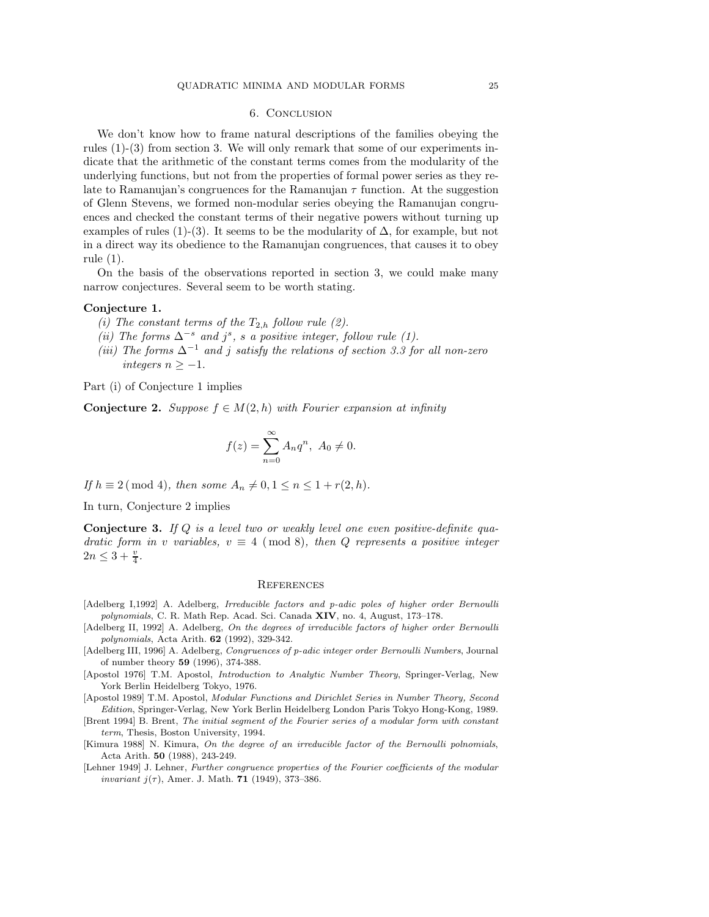### 6. Conclusion

We don't know how to frame natural descriptions of the families obeying the rules (1)-(3) from section 3. We will only remark that some of our experiments indicate that the arithmetic of the constant terms comes from the modularity of the underlying functions, but not from the properties of formal power series as they relate to Ramanujan's congruences for the Ramanujan  $\tau$  function. At the suggestion of Glenn Stevens, we formed non-modular series obeying the Ramanujan congruences and checked the constant terms of their negative powers without turning up examples of rules (1)-(3). It seems to be the modularity of  $\Delta$ , for example, but not in a direct way its obedience to the Ramanujan congruences, that causes it to obey rule (1).

On the basis of the observations reported in section 3, we could make many narrow conjectures. Several seem to be worth stating.

### Conjecture 1.

- *(i)* The constant terms of the  $T_{2,h}$  follow rule (2).
- $(iii)$  The forms  $\Delta^{-s}$  and  $j^s$ , *s a* positive integer, follow rule (1).
- *(iii) The forms* ∆<sup>−</sup><sup>1</sup> *and* j *satisfy the relations of section 3.3 for all non-zero integers*  $n \ge -1$ .

Part (i) of Conjecture 1 implies

**Conjecture 2.** *Suppose*  $f \in M(2,h)$  *with Fourier expansion at infinity* 

$$
f(z) = \sum_{n=0}^{\infty} A_n q^n, \ A_0 \neq 0.
$$

*If*  $h \equiv 2 \pmod{4}$ *, then some*  $A_n \neq 0, 1 \leq n \leq 1 + r(2, h)$ *.* 

In turn, Conjecture 2 implies

Conjecture 3. *If* Q *is a level two or weakly level one even positive-definite quadratic form in* v *variables,*  $v \equiv 4 \pmod{8}$ *, then* Q *represents a positive integer*  $2n \leq 3 + \frac{v}{4}$ .

#### **REFERENCES**

- [Adelberg I,1992] A. Adelberg, Irreducible factors and p-adic poles of higher order Bernoulli polynomials, C. R. Math Rep. Acad. Sci. Canada XIV, no. 4, August, 173-178.
- [Adelberg II, 1992] A. Adelberg, On the degrees of irreducible factors of higher order Bernoulli polynomials, Acta Arith. 62 (1992), 329-342.
- [Adelberg III, 1996] A. Adelberg, Congruences of p-adic integer order Bernoulli Numbers, Journal of number theory 59 (1996), 374-388.
- [Apostol 1976] T.M. Apostol, Introduction to Analytic Number Theory, Springer-Verlag, New York Berlin Heidelberg Tokyo, 1976.

[Apostol 1989] T.M. Apostol, Modular Functions and Dirichlet Series in Number Theory, Second Edition, Springer-Verlag, New York Berlin Heidelberg London Paris Tokyo Hong-Kong, 1989.

- [Brent 1994] B. Brent, The initial segment of the Fourier series of a modular form with constant term, Thesis, Boston University, 1994.
- [Kimura 1988] N. Kimura, On the degree of an irreducible factor of the Bernoulli polnomials, Acta Arith. 50 (1988), 243-249.
- [Lehner 1949] J. Lehner, Further congruence properties of the Fourier coefficients of the modular *invariant*  $j(\tau)$ , Amer. J. Math. **71** (1949), 373-386.